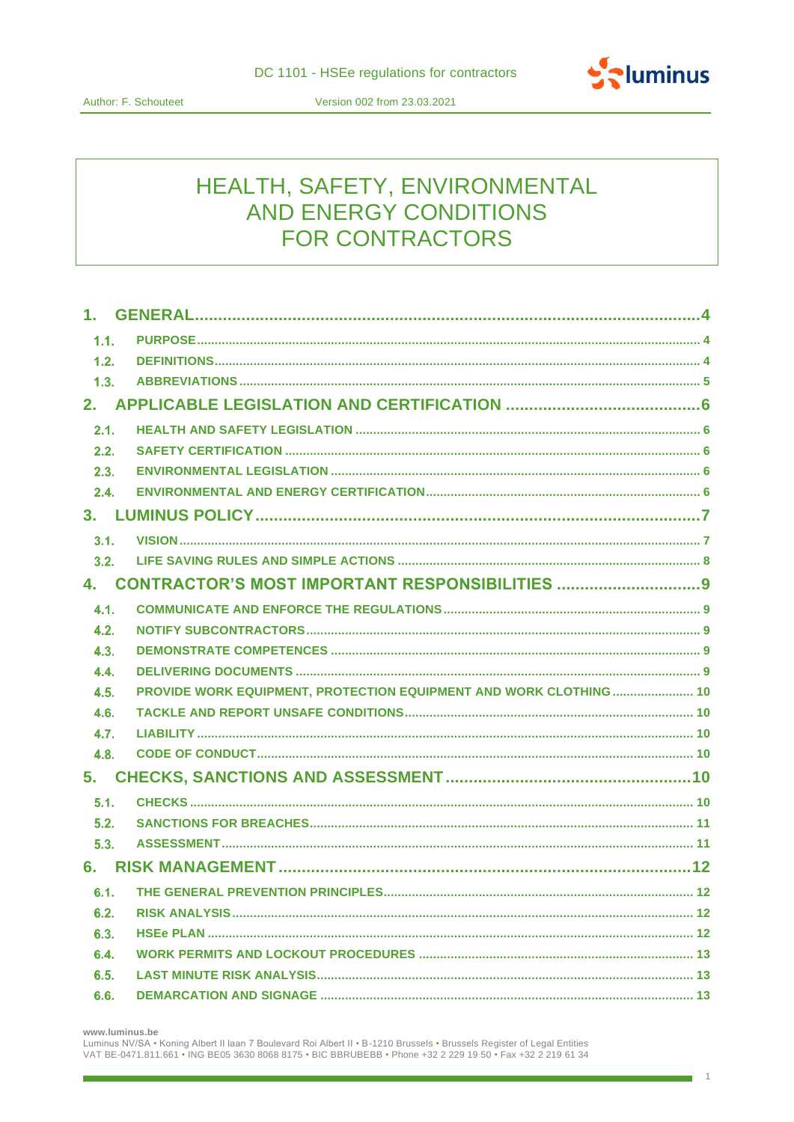

Version 002 from 23.03.2021

# HEALTH, SAFETY, ENVIRONMENTAL AND ENERGY CONDITIONS **FOR CONTRACTORS**

| 1.               |                                                                   |  |
|------------------|-------------------------------------------------------------------|--|
| 1.1.             |                                                                   |  |
| 1.2.             |                                                                   |  |
| 1.3.             |                                                                   |  |
|                  |                                                                   |  |
| 2.1.             |                                                                   |  |
| 2.2.             |                                                                   |  |
| 2.3.             |                                                                   |  |
| 2.4.             |                                                                   |  |
|                  |                                                                   |  |
| 3.1.             |                                                                   |  |
| 3.2.             |                                                                   |  |
|                  | 4. CONTRACTOR'S MOST IMPORTANT RESPONSIBILITIES 9                 |  |
| 4.1.             |                                                                   |  |
| 4.2.             |                                                                   |  |
| 4.3.             |                                                                   |  |
| 4.4.             |                                                                   |  |
| 4.5.             | PROVIDE WORK EQUIPMENT, PROTECTION EQUIPMENT AND WORK CLOTHING 10 |  |
| 4.6.             |                                                                   |  |
| 4.7 <sub>1</sub> |                                                                   |  |
| 4.8.             |                                                                   |  |
| 5.               |                                                                   |  |
| 5.1.             |                                                                   |  |
| 5.2.             |                                                                   |  |
| 5.3.             |                                                                   |  |
| 6.               |                                                                   |  |
| 6.1.             |                                                                   |  |
| 6.2.             |                                                                   |  |
| 6.3.             |                                                                   |  |
| 6.4.             |                                                                   |  |
| 6.5.             |                                                                   |  |
| 6.6.             |                                                                   |  |

www.luminus.be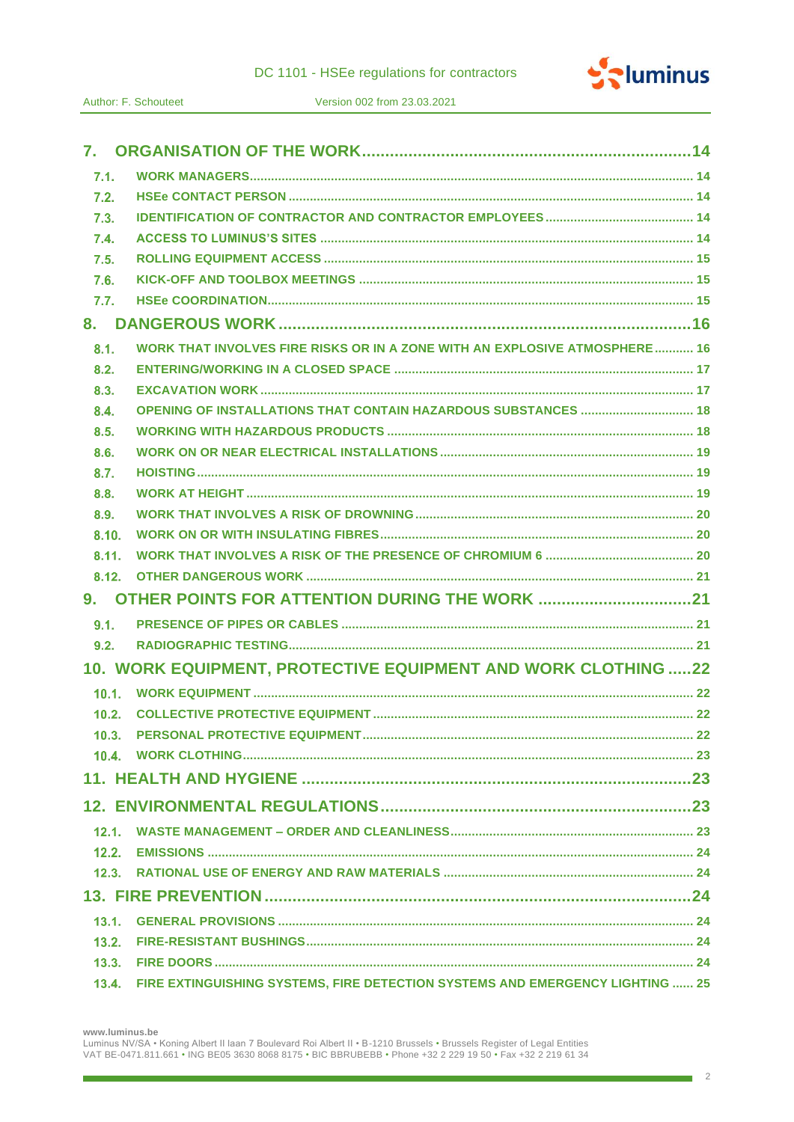

| 7.1.  |                                                                               |  |
|-------|-------------------------------------------------------------------------------|--|
| 7.2.  |                                                                               |  |
| 7.3.  |                                                                               |  |
| 7.4.  |                                                                               |  |
| 7.5.  |                                                                               |  |
| 7.6.  |                                                                               |  |
| 7.7.  |                                                                               |  |
| 8.    |                                                                               |  |
| 8.1.  | WORK THAT INVOLVES FIRE RISKS OR IN A ZONE WITH AN EXPLOSIVE ATMOSPHERE 16    |  |
| 8.2.  |                                                                               |  |
| 8.3.  |                                                                               |  |
| 8.4.  |                                                                               |  |
| 8.5.  |                                                                               |  |
| 8.6.  |                                                                               |  |
| 8.7.  |                                                                               |  |
| 8.8.  |                                                                               |  |
| 8.9.  |                                                                               |  |
| 8.10. |                                                                               |  |
| 8.11. |                                                                               |  |
| 8.12. |                                                                               |  |
| 9.    |                                                                               |  |
| 9.1.  |                                                                               |  |
| 9.2.  |                                                                               |  |
|       | 10. WORK EQUIPMENT, PROTECTIVE EQUIPMENT AND WORK CLOTHING 22                 |  |
| 10.1. |                                                                               |  |
| 10.2. |                                                                               |  |
| 10.3. |                                                                               |  |
|       |                                                                               |  |
|       |                                                                               |  |
|       |                                                                               |  |
| 12.1. |                                                                               |  |
| 12.2. |                                                                               |  |
| 12.3. |                                                                               |  |
|       |                                                                               |  |
| 13.1. |                                                                               |  |
| 13.2. |                                                                               |  |
| 13.3. |                                                                               |  |
| 13.4. | FIRE EXTINGUISHING SYSTEMS, FIRE DETECTION SYSTEMS AND EMERGENCY LIGHTING  25 |  |

www.luminus.be

Luminus NV/SA · Koning Albert II laan 7 Boulevard Roi Albert II · B-1210 Brussels · Brussels Register of Legal Entities VAT BE-0471.811.661 • ING BE05 3630 8068 8175 • BIC BBRUBEBB • Phone +32 2 229 19 50 • Fax +32 2 219 61 34

٦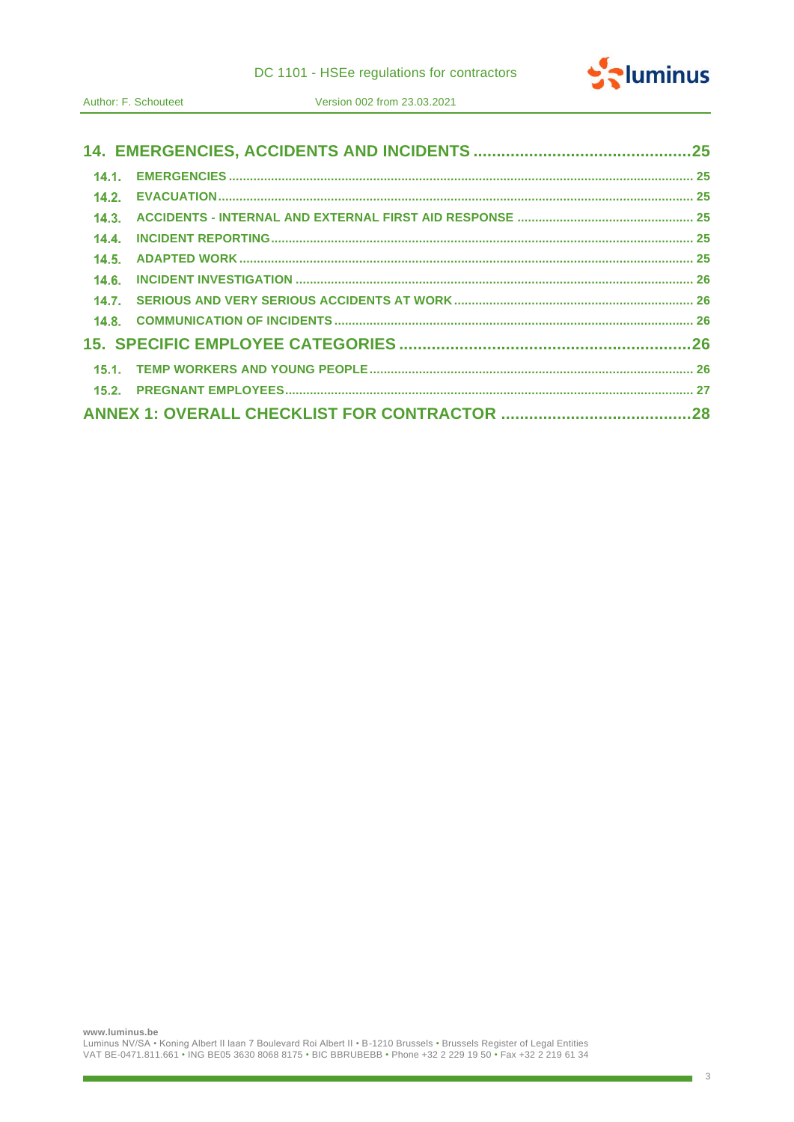|  |  |  | DC 1101 - HSEe regulations for contractors |  |  |  |
|--|--|--|--------------------------------------------|--|--|--|
|--|--|--|--------------------------------------------|--|--|--|



| 14.4. |  |
|-------|--|
|       |  |
| 14.6. |  |
|       |  |
|       |  |
|       |  |
|       |  |
|       |  |
|       |  |

÷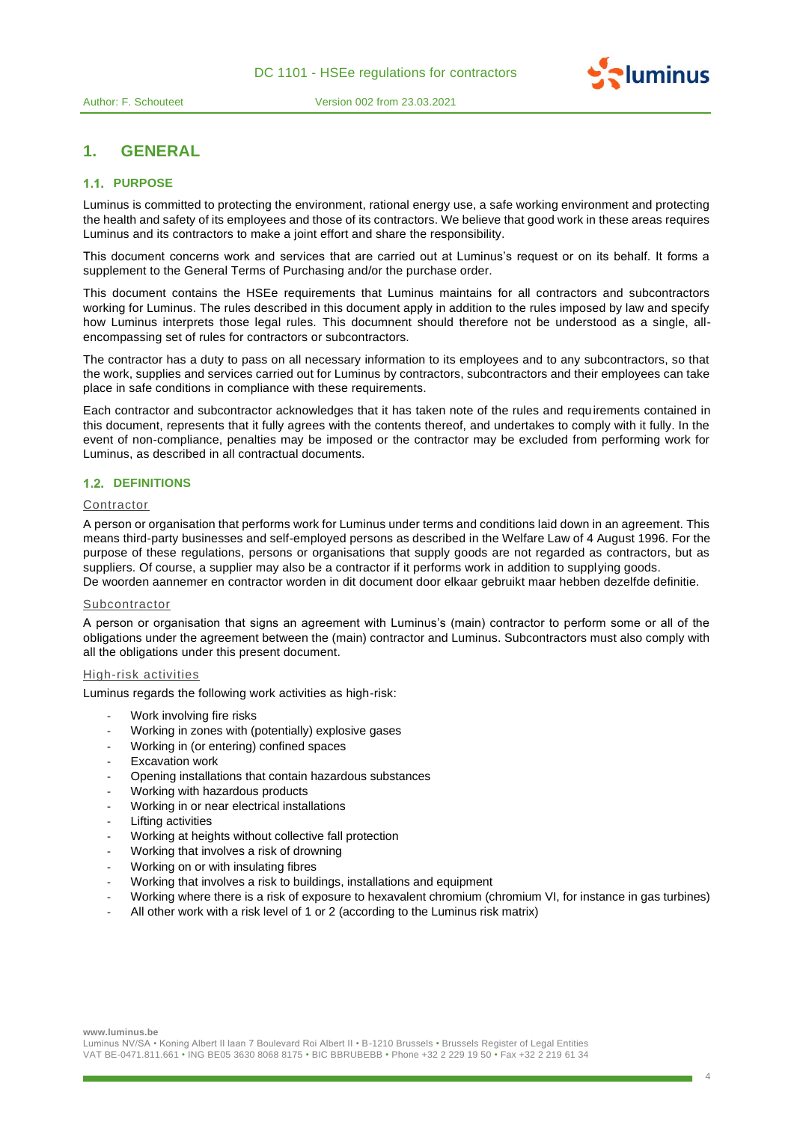

# **1. GENERAL**

# **1.1. PURPOSE**

Luminus is committed to protecting the environment, rational energy use, a safe working environment and protecting the health and safety of its employees and those of its contractors. We believe that good work in these areas requires Luminus and its contractors to make a joint effort and share the responsibility.

This document concerns work and services that are carried out at Luminus's request or on its behalf. It forms a supplement to the General Terms of Purchasing and/or the purchase order.

This document contains the HSEe requirements that Luminus maintains for all contractors and subcontractors working for Luminus. The rules described in this document apply in addition to the rules imposed by law and specify how Luminus interprets those legal rules. This documnent should therefore not be understood as a single, allencompassing set of rules for contractors or subcontractors.

The contractor has a duty to pass on all necessary information to its employees and to any subcontractors, so that the work, supplies and services carried out for Luminus by contractors, subcontractors and their employees can take place in safe conditions in compliance with these requirements.

Each contractor and subcontractor acknowledges that it has taken note of the rules and requirements contained in this document, represents that it fully agrees with the contents thereof, and undertakes to comply with it fully. In the event of non-compliance, penalties may be imposed or the contractor may be excluded from performing work for Luminus, as described in all contractual documents.

# **1.2. DEFINITIONS**

# **Contractor**

A person or organisation that performs work for Luminus under terms and conditions laid down in an agreement. This means third-party businesses and self-employed persons as described in the Welfare Law of 4 August 1996. For the purpose of these regulations, persons or organisations that supply goods are not regarded as contractors, but as suppliers. Of course, a supplier may also be a contractor if it performs work in addition to supplying goods.

De woorden aannemer en contractor worden in dit document door elkaar gebruikt maar hebben dezelfde definitie.

#### **Subcontractor**

A person or organisation that signs an agreement with Luminus's (main) contractor to perform some or all of the obligations under the agreement between the (main) contractor and Luminus. Subcontractors must also comply with all the obligations under this present document.

# High-risk activities

Luminus regards the following work activities as high-risk:

- Work involving fire risks
- Working in zones with (potentially) explosive gases
- Working in (or entering) confined spaces
- **Excavation work**
- Opening installations that contain hazardous substances
- Working with hazardous products
- Working in or near electrical installations
- Lifting activities
- Working at heights without collective fall protection
- Working that involves a risk of drowning
- Working on or with insulating fibres
- Working that involves a risk to buildings, installations and equipment
- Working where there is a risk of exposure to hexavalent chromium (chromium VI, for instance in gas turbines)
- All other work with a risk level of 1 or 2 (according to the Luminus risk matrix)

**www.luminus.be**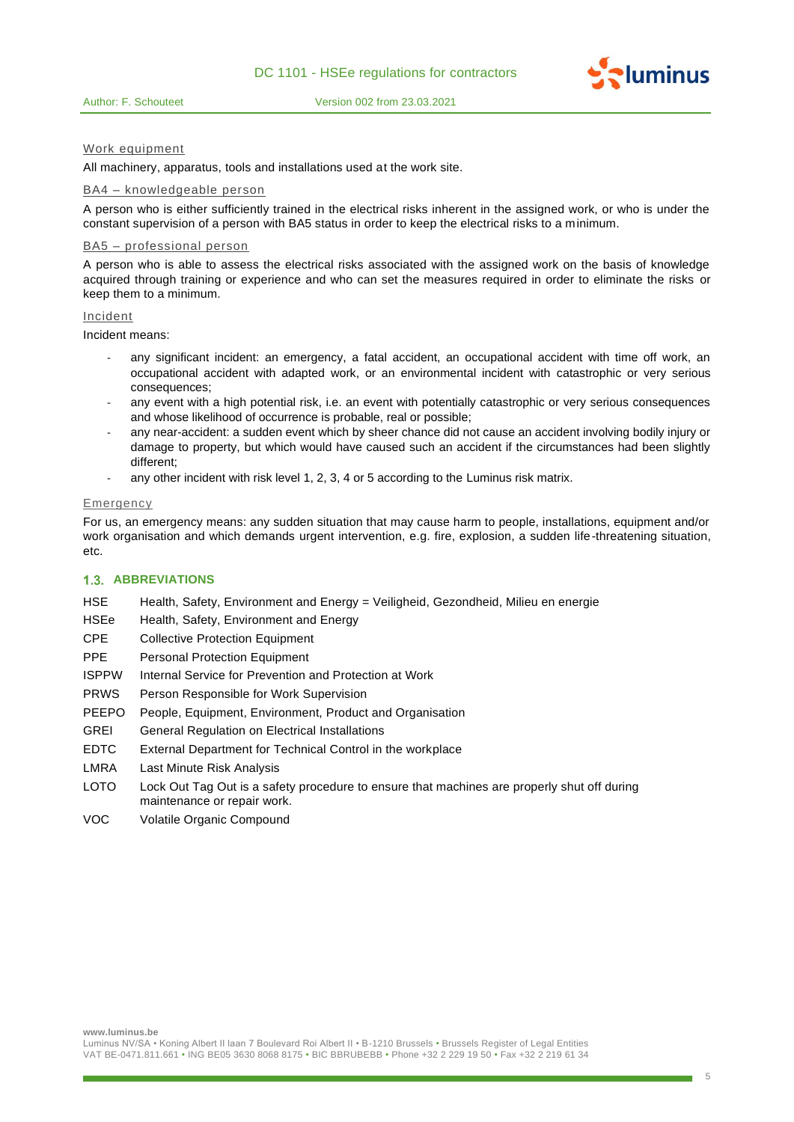



#### Work equipment

All machinery, apparatus, tools and installations used at the work site.

#### BA4 – knowledgeable person

A person who is either sufficiently trained in the electrical risks inherent in the assigned work, or who is under the constant supervision of a person with BA5 status in order to keep the electrical risks to a minimum.

#### BA5 – professional person

A person who is able to assess the electrical risks associated with the assigned work on the basis of knowledge acquired through training or experience and who can set the measures required in order to eliminate the risks or keep them to a minimum.

# Incident

Incident means:

- any significant incident: an emergency, a fatal accident, an occupational accident with time off work, an occupational accident with adapted work, or an environmental incident with catastrophic or very serious consequences;
- any event with a high potential risk, i.e. an event with potentially catastrophic or very serious consequences and whose likelihood of occurrence is probable, real or possible;
- any near-accident: a sudden event which by sheer chance did not cause an accident involving bodily injury or damage to property, but which would have caused such an accident if the circumstances had been slightly different;
- any other incident with risk level 1, 2, 3, 4 or 5 according to the Luminus risk matrix.

#### **Emergency**

For us, an emergency means: any sudden situation that may cause harm to people, installations, equipment and/or work organisation and which demands urgent intervention, e.g. fire, explosion, a sudden life-threatening situation, etc.

#### **1.3. ABBREVIATIONS**

- HSE Health, Safety, Environment and Energy = Veiligheid, Gezondheid, Milieu en energie
- HSEe Health, Safety, Environment and Energy
- CPE Collective Protection Equipment
- PPE Personal Protection Equipment
- ISPPW Internal Service for Prevention and Protection at Work
- PRWS Person Responsible for Work Supervision
- PEEPO People, Equipment, Environment, Product and Organisation
- GREI General Regulation on Electrical Installations
- EDTC External Department for Technical Control in the workplace
- LMRA Last Minute Risk Analysis
- LOTO Lock Out Tag Out is a safety procedure to ensure that machines are properly shut off during maintenance or repair work.
- VOC Volatile Organic Compound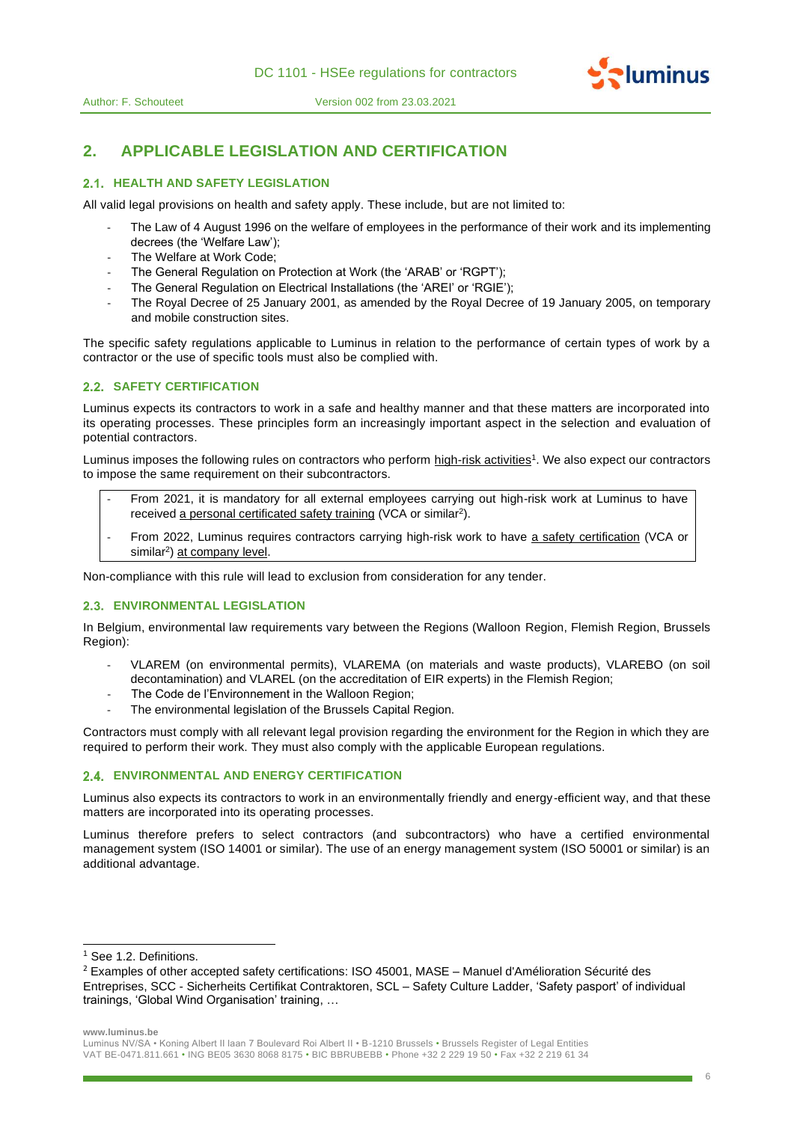





# **2. APPLICABLE LEGISLATION AND CERTIFICATION**

# **2.1. HEALTH AND SAFETY LEGISLATION**

All valid legal provisions on health and safety apply. These include, but are not limited to:

- The Law of 4 August 1996 on the welfare of employees in the performance of their work and its implementing decrees (the 'Welfare Law');
- The Welfare at Work Code:
- The General Regulation on Protection at Work (the 'ARAB' or 'RGPT');
- The General Regulation on Electrical Installations (the 'AREI' or 'RGIE');
- The Royal Decree of 25 January 2001, as amended by the Royal Decree of 19 January 2005, on temporary and mobile construction sites.

The specific safety regulations applicable to Luminus in relation to the performance of certain types of work by a contractor or the use of specific tools must also be complied with.

# **2.2. SAFETY CERTIFICATION**

Luminus expects its contractors to work in a safe and healthy manner and that these matters are incorporated into its operating processes. These principles form an increasingly important aspect in the selection and evaluation of potential contractors.

Luminus imposes the following rules on contractors who perform high-risk activities<sup>1</sup>. We also expect our contractors to impose the same requirement on their subcontractors.

- From 2021, it is mandatory for all external employees carrying out high-risk work at Luminus to have received a personal certificated safety training (VCA or similar<sup>2</sup>).
- From 2022, Luminus requires contractors carrying high-risk work to have a safety certification (VCA or similar<sup>2</sup>) at company level.

Non-compliance with this rule will lead to exclusion from consideration for any tender.

# **ENVIRONMENTAL LEGISLATION**

In Belgium, environmental law requirements vary between the Regions (Walloon Region, Flemish Region, Brussels Region):

- VLAREM (on environmental permits), VLAREMA (on materials and waste products), VLAREBO (on soil decontamination) and VLAREL (on the accreditation of EIR experts) in the Flemish Region;
- The Code de l'Environnement in the Walloon Region;
- The environmental legislation of the Brussels Capital Region.

Contractors must comply with all relevant legal provision regarding the environment for the Region in which they are required to perform their work. They must also comply with the applicable European regulations.

### **ENVIRONMENTAL AND ENERGY CERTIFICATION**

Luminus also expects its contractors to work in an environmentally friendly and energy-efficient way, and that these matters are incorporated into its operating processes.

Luminus therefore prefers to select contractors (and subcontractors) who have a certified environmental management system (ISO 14001 or similar). The use of an energy management system (ISO 50001 or similar) is an additional advantage.

**www.luminus.be**

<sup>&</sup>lt;sup>1</sup> See 1.2. Definitions.

<sup>2</sup> Examples of other accepted safety certifications: ISO 45001, MASE – Manuel d'Amélioration Sécurité des Entreprises, SCC - Sicherheits Certifikat Contraktoren, SCL – Safety Culture Ladder, 'Safety pasport' of individual trainings, 'Global Wind Organisation' training, …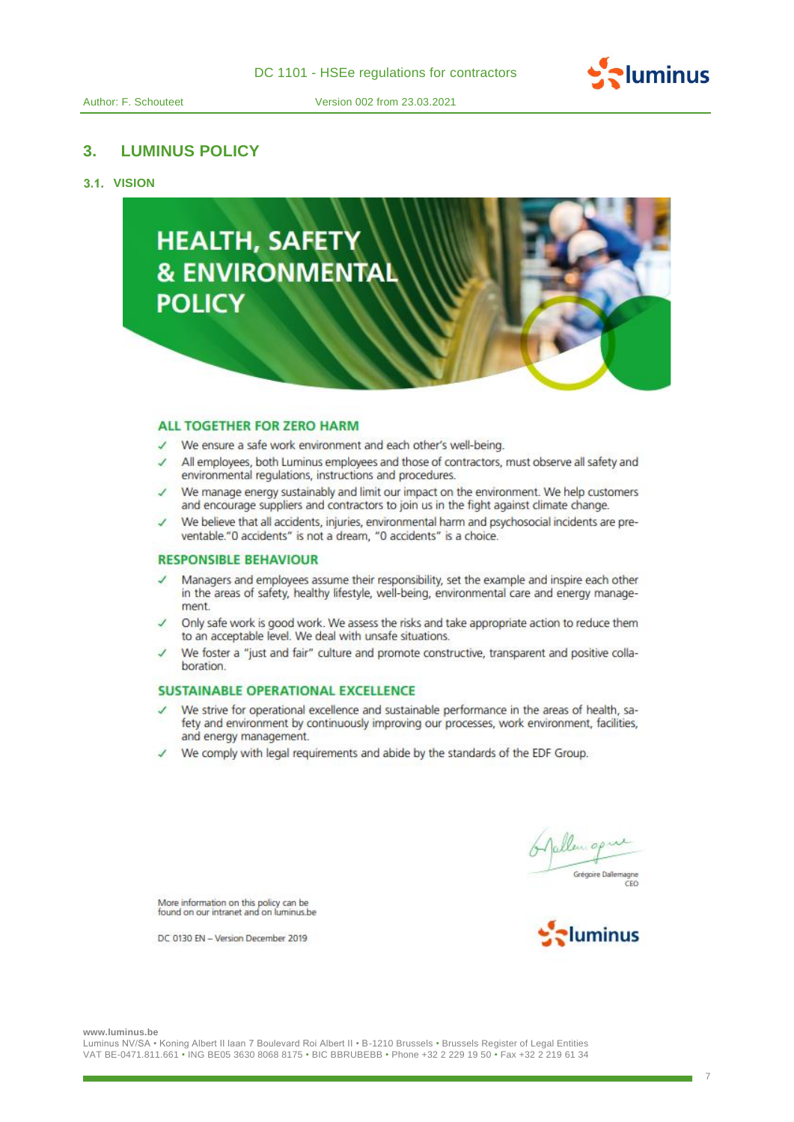

# **3. LUMINUS POLICY**

# **3.1. VISION**



#### **ALL TOGETHER FOR ZERO HARM**

- We ensure a safe work environment and each other's well-being.
- All employees, both Luminus employees and those of contractors, must observe all safety and environmental regulations, instructions and procedures.
- We manage energy sustainably and limit our impact on the environment. We help customers and encourage suppliers and contractors to join us in the fight against climate change.
- We believe that all accidents, injuries, environmental harm and psychosocial incidents are preventable."0 accidents" is not a dream, "0 accidents" is a choice.

# **RESPONSIBLE BEHAVIOUR**

- Managers and employees assume their responsibility, set the example and inspire each other in the areas of safety, healthy lifestyle, well-being, environmental care and energy management.
- Only safe work is good work. We assess the risks and take appropriate action to reduce them to an acceptable level. We deal with unsafe situations.
- We foster a "just and fair" culture and promote constructive, transparent and positive collaboration.

# **SUSTAINABLE OPERATIONAL EXCELLENCE**

- We strive for operational excellence and sustainable performance in the areas of health, safety and environment by continuously improving our processes, work environment, facilities, and energy management.
- We comply with legal requirements and abide by the standards of the EDF Group.

Grégoire Daller

More information on this policy can be found on our intranet and on luminus.be

DC 0130 EN - Version December 2019



**www.luminus.be**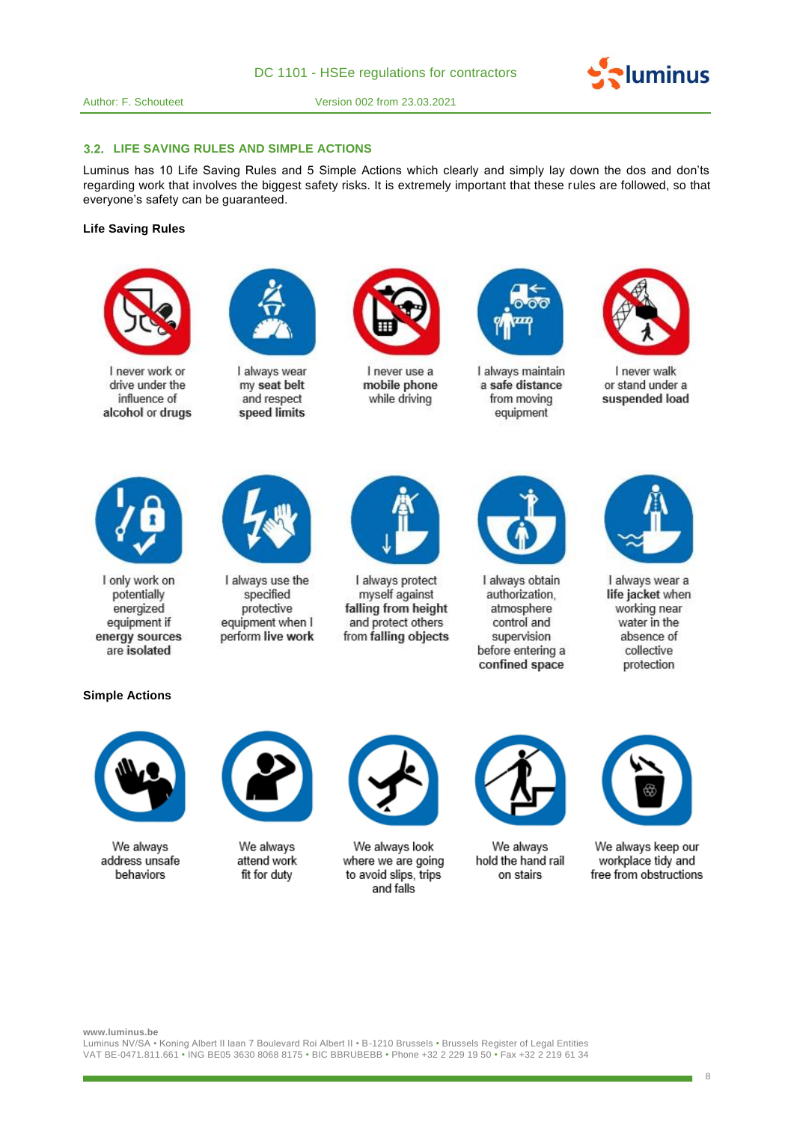#### **3.2. LIFE SAVING RULES AND SIMPLE ACTIONS**

Luminus has 10 Life Saving Rules and 5 Simple Actions which clearly and simply lay down the dos and don'ts regarding work that involves the biggest safety risks. It is extremely important that these rules are followed, so that everyone's safety can be guaranteed.

# **Life Saving Rules**



I never work or drive under the influence of alcohol or drugs



I always wear my seat belt and respect speed limits



I never use a mobile phone while driving



I always maintain a safe distance from moving equipment



 $\sim$ luminus

I never walk or stand under a suspended load



I only work on potentially energized equipment if energy sources are isolated



I always use the specified protective equipment when I perform live work



I always protect myself against falling from height and protect others from falling objects



I always obtain authorization. atmosphere control and supervision before entering a confined space



I always wear a life jacket when working near water in the absence of collective protection

# **Simple Actions**



We always address unsafe behaviors



We always attend work fit for duty



We always look where we are going to avoid slips, trips and falls



We always hold the hand rail on stairs



We always keep our workplace tidy and free from obstructions

**www.luminus.be**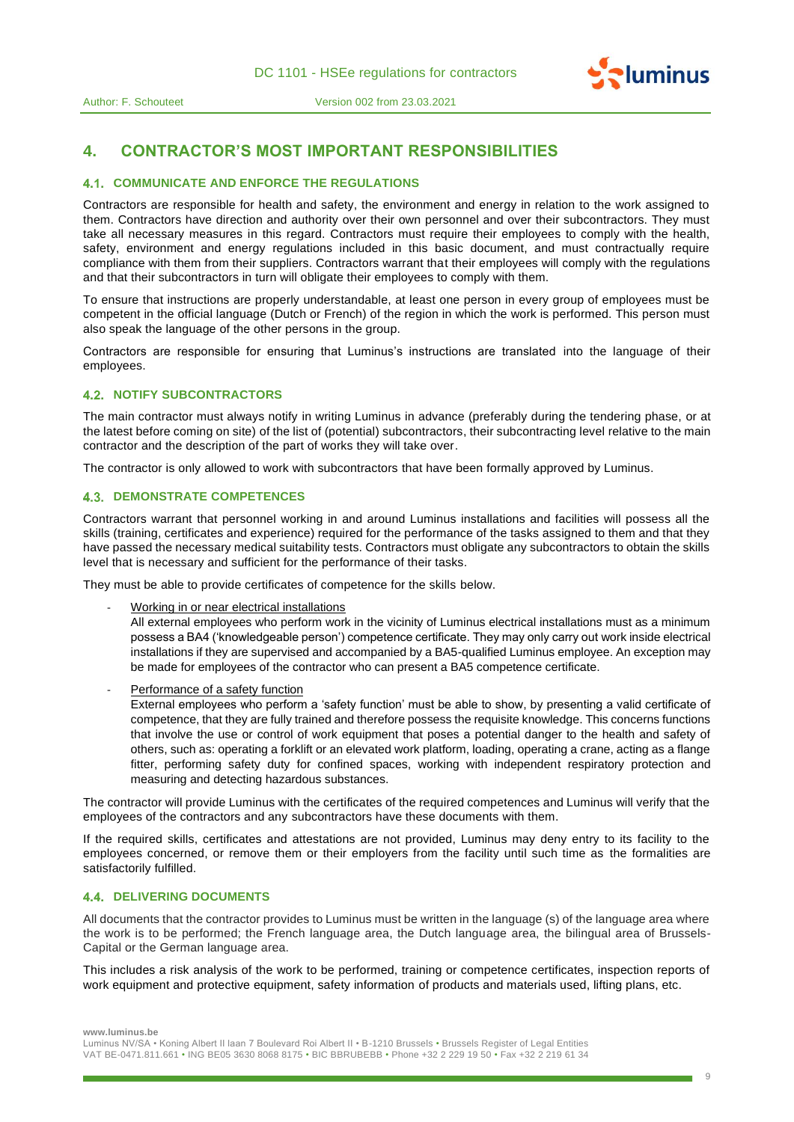



# **4. CONTRACTOR'S MOST IMPORTANT RESPONSIBILITIES**

### **COMMUNICATE AND ENFORCE THE REGULATIONS**

Contractors are responsible for health and safety, the environment and energy in relation to the work assigned to them. Contractors have direction and authority over their own personnel and over their subcontractors. They must take all necessary measures in this regard. Contractors must require their employees to comply with the health, safety, environment and energy regulations included in this basic document, and must contractually require compliance with them from their suppliers. Contractors warrant that their employees will comply with the regulations and that their subcontractors in turn will obligate their employees to comply with them.

To ensure that instructions are properly understandable, at least one person in every group of employees must be competent in the official language (Dutch or French) of the region in which the work is performed. This person must also speak the language of the other persons in the group.

Contractors are responsible for ensuring that Luminus's instructions are translated into the language of their employees.

#### **4.2. NOTIFY SUBCONTRACTORS**

The main contractor must always notify in writing Luminus in advance (preferably during the tendering phase, or at the latest before coming on site) of the list of (potential) subcontractors, their subcontracting level relative to the main contractor and the description of the part of works they will take over.

The contractor is only allowed to work with subcontractors that have been formally approved by Luminus.

#### **4.3. DEMONSTRATE COMPETENCES**

Contractors warrant that personnel working in and around Luminus installations and facilities will possess all the skills (training, certificates and experience) required for the performance of the tasks assigned to them and that they have passed the necessary medical suitability tests. Contractors must obligate any subcontractors to obtain the skills level that is necessary and sufficient for the performance of their tasks.

They must be able to provide certificates of competence for the skills below.

Working in or near electrical installations

All external employees who perform work in the vicinity of Luminus electrical installations must as a minimum possess a BA4 ('knowledgeable person') competence certificate. They may only carry out work inside electrical installations if they are supervised and accompanied by a BA5-qualified Luminus employee. An exception may be made for employees of the contractor who can present a BA5 competence certificate.

Performance of a safety function

External employees who perform a 'safety function' must be able to show, by presenting a valid certificate of competence, that they are fully trained and therefore possess the requisite knowledge. This concerns functions that involve the use or control of work equipment that poses a potential danger to the health and safety of others, such as: operating a forklift or an elevated work platform, loading, operating a crane, acting as a flange fitter, performing safety duty for confined spaces, working with independent respiratory protection and measuring and detecting hazardous substances.

The contractor will provide Luminus with the certificates of the required competences and Luminus will verify that the employees of the contractors and any subcontractors have these documents with them.

If the required skills, certificates and attestations are not provided, Luminus may deny entry to its facility to the employees concerned, or remove them or their employers from the facility until such time as the formalities are satisfactorily fulfilled.

# **4.4. DELIVERING DOCUMENTS**

All documents that the contractor provides to Luminus must be written in the language (s) of the language area where the work is to be performed; the French language area, the Dutch language area, the bilingual area of Brussels-Capital or the German language area.

This includes a risk analysis of the work to be performed, training or competence certificates, inspection reports of work equipment and protective equipment, safety information of products and materials used, lifting plans, etc.

Luminus NV/SA • Koning Albert II laan 7 Boulevard Roi Albert II • B-1210 Brussels • Brussels Register of Legal Entities VAT BE-0471.811.661 • ING BE05 3630 8068 8175 • BIC BBRUBEBB • Phone +32 2 229 19 50 • Fax +32 2 219 61 34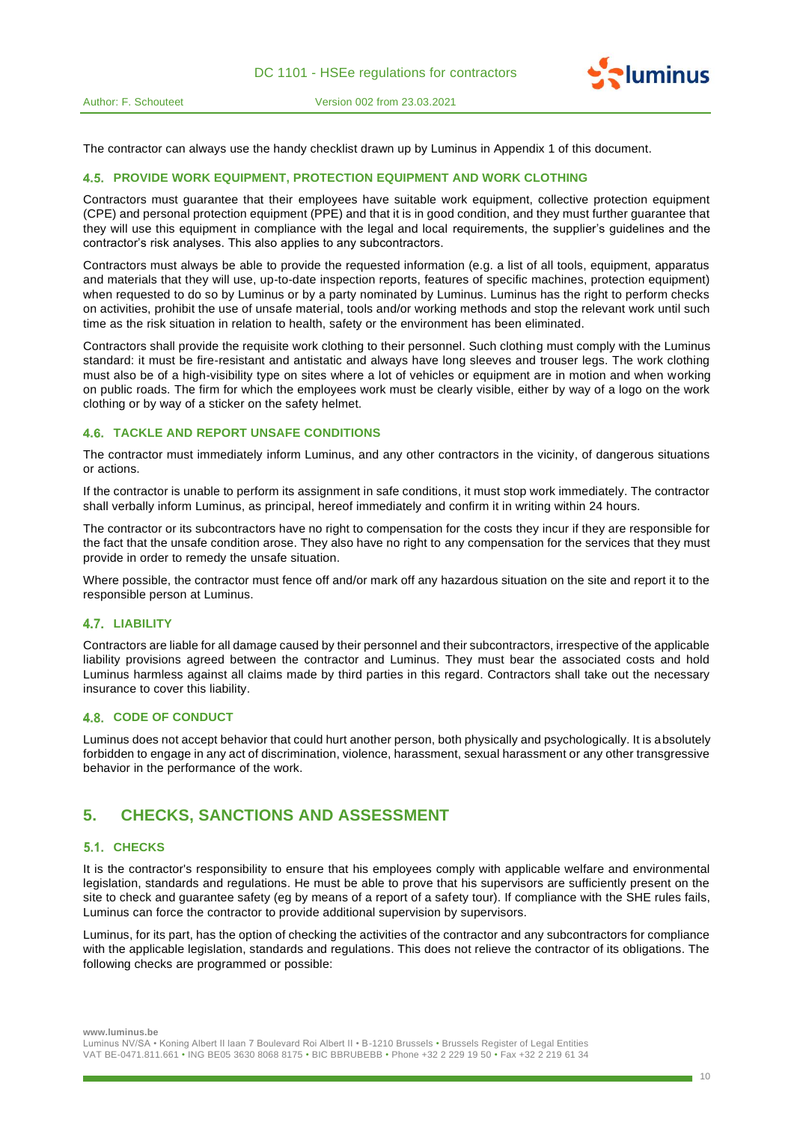

The contractor can always use the handy checklist drawn up by Luminus in Appendix 1 of this document.

### **PROVIDE WORK EQUIPMENT, PROTECTION EQUIPMENT AND WORK CLOTHING**

Contractors must guarantee that their employees have suitable work equipment, collective protection equipment (CPE) and personal protection equipment (PPE) and that it is in good condition, and they must further guarantee that they will use this equipment in compliance with the legal and local requirements, the supplier's guidelines and the contractor's risk analyses. This also applies to any subcontractors.

Contractors must always be able to provide the requested information (e.g. a list of all tools, equipment, apparatus and materials that they will use, up-to-date inspection reports, features of specific machines, protection equipment) when requested to do so by Luminus or by a party nominated by Luminus. Luminus has the right to perform checks on activities, prohibit the use of unsafe material, tools and/or working methods and stop the relevant work until such time as the risk situation in relation to health, safety or the environment has been eliminated.

Contractors shall provide the requisite work clothing to their personnel. Such clothing must comply with the Luminus standard: it must be fire-resistant and antistatic and always have long sleeves and trouser legs. The work clothing must also be of a high-visibility type on sites where a lot of vehicles or equipment are in motion and when working on public roads. The firm for which the employees work must be clearly visible, either by way of a logo on the work clothing or by way of a sticker on the safety helmet.

# **TACKLE AND REPORT UNSAFE CONDITIONS**

The contractor must immediately inform Luminus, and any other contractors in the vicinity, of dangerous situations or actions.

If the contractor is unable to perform its assignment in safe conditions, it must stop work immediately. The contractor shall verbally inform Luminus, as principal, hereof immediately and confirm it in writing within 24 hours.

The contractor or its subcontractors have no right to compensation for the costs they incur if they are responsible for the fact that the unsafe condition arose. They also have no right to any compensation for the services that they must provide in order to remedy the unsafe situation.

Where possible, the contractor must fence off and/or mark off any hazardous situation on the site and report it to the responsible person at Luminus.

#### **4.7. LIABILITY**

Contractors are liable for all damage caused by their personnel and their subcontractors, irrespective of the applicable liability provisions agreed between the contractor and Luminus. They must bear the associated costs and hold Luminus harmless against all claims made by third parties in this regard. Contractors shall take out the necessary insurance to cover this liability.

# **4.8. CODE OF CONDUCT**

Luminus does not accept behavior that could hurt another person, both physically and psychologically. It is absolutely forbidden to engage in any act of discrimination, violence, harassment, sexual harassment or any other transgressive behavior in the performance of the work.

# **5. CHECKS, SANCTIONS AND ASSESSMENT**

# 5.1. CHECKS

It is the contractor's responsibility to ensure that his employees comply with applicable welfare and environmental legislation, standards and regulations. He must be able to prove that his supervisors are sufficiently present on the site to check and guarantee safety (eg by means of a report of a safety tour). If compliance with the SHE rules fails, Luminus can force the contractor to provide additional supervision by supervisors.

Luminus, for its part, has the option of checking the activities of the contractor and any subcontractors for compliance with the applicable legislation, standards and regulations. This does not relieve the contractor of its obligations. The following checks are programmed or possible:

**www.luminus.be**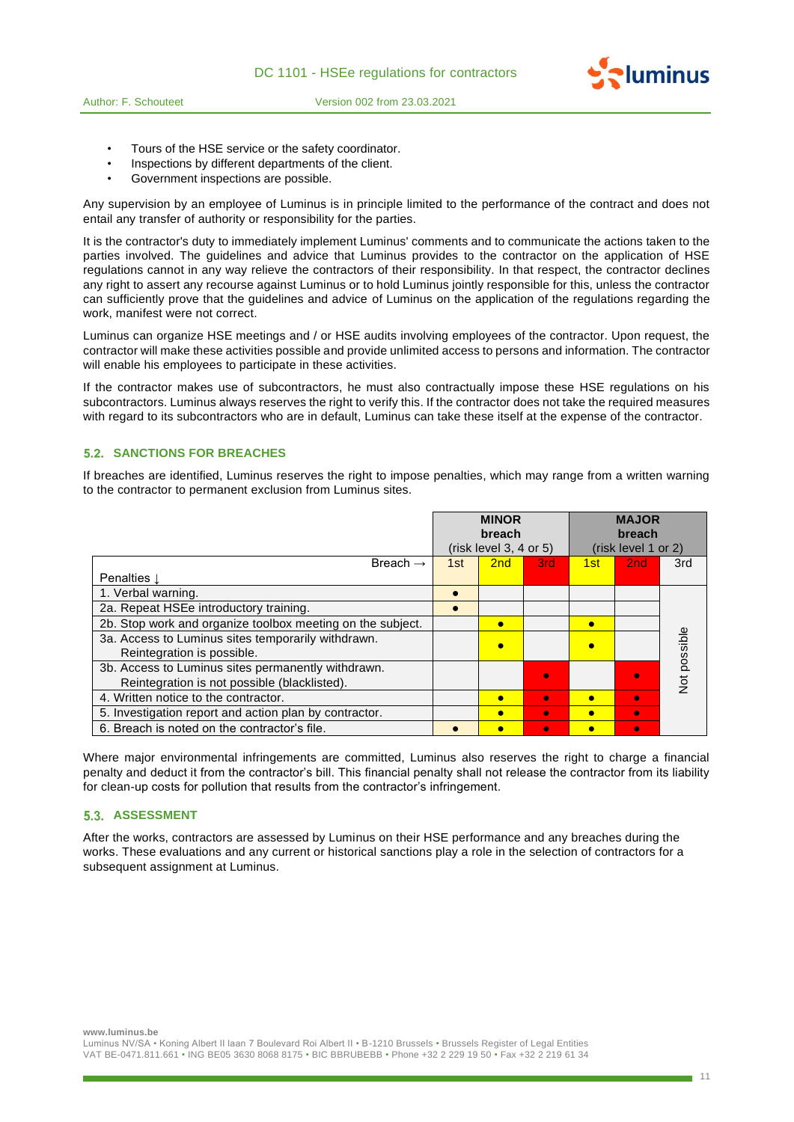

- Tours of the HSE service or the safety coordinator.
- Inspections by different departments of the client.
- Government inspections are possible.

Any supervision by an employee of Luminus is in principle limited to the performance of the contract and does not entail any transfer of authority or responsibility for the parties.

It is the contractor's duty to immediately implement Luminus' comments and to communicate the actions taken to the parties involved. The guidelines and advice that Luminus provides to the contractor on the application of HSE regulations cannot in any way relieve the contractors of their responsibility. In that respect, the contractor declines any right to assert any recourse against Luminus or to hold Luminus jointly responsible for this, unless the contractor can sufficiently prove that the guidelines and advice of Luminus on the application of the regulations regarding the work, manifest were not correct.

Luminus can organize HSE meetings and / or HSE audits involving employees of the contractor. Upon request, the contractor will make these activities possible and provide unlimited access to persons and information. The contractor will enable his employees to participate in these activities.

If the contractor makes use of subcontractors, he must also contractually impose these HSE regulations on his subcontractors. Luminus always reserves the right to verify this. If the contractor does not take the required measures with regard to its subcontractors who are in default, Luminus can take these itself at the expense of the contractor.

# **5.2. SANCTIONS FOR BREACHES**

If breaches are identified, Luminus reserves the right to impose penalties, which may range from a written warning to the contractor to permanent exclusion from Luminus sites.

|                                                            | <b>MAJOR</b><br><b>MINOR</b><br>breach<br>breach<br>(risk level 3, 4 or 5)<br>(risk level 1 or 2) |           |           |           |           |              |
|------------------------------------------------------------|---------------------------------------------------------------------------------------------------|-----------|-----------|-----------|-----------|--------------|
| Breach $\rightarrow$                                       | 1st                                                                                               | 2nd       | 3rd       | 1st       | 2nd       | 3rd          |
| Penalties $\mathbf{l}$                                     |                                                                                                   |           |           |           |           |              |
| 1. Verbal warning.                                         |                                                                                                   |           |           |           |           |              |
| 2a. Repeat HSEe introductory training.                     |                                                                                                   |           |           |           |           |              |
| 2b. Stop work and organize toolbox meeting on the subject. |                                                                                                   | $\bullet$ |           | $\bullet$ |           |              |
| 3a. Access to Luminus sites temporarily withdrawn.         |                                                                                                   |           |           |           |           | Vot possible |
| Reintegration is possible.                                 |                                                                                                   |           |           |           |           |              |
| 3b. Access to Luminus sites permanently withdrawn.         |                                                                                                   |           |           |           |           |              |
| Reintegration is not possible (blacklisted).               |                                                                                                   |           |           |           |           |              |
| 4. Written notice to the contractor.                       |                                                                                                   |           | $\bullet$ | C         | $\bullet$ |              |
| 5. Investigation report and action plan by contractor.     |                                                                                                   |           | $\bullet$ |           | $\bullet$ |              |
| 6. Breach is noted on the contractor's file.               |                                                                                                   |           | O         |           | $\bullet$ |              |

Where major environmental infringements are committed, Luminus also reserves the right to charge a financial penalty and deduct it from the contractor's bill. This financial penalty shall not release the contractor from its liability for clean-up costs for pollution that results from the contractor's infringement.

#### **5.3. ASSESSMENT**

After the works, contractors are assessed by Luminus on their HSE performance and any breaches during the works. These evaluations and any current or historical sanctions play a role in the selection of contractors for a subsequent assignment at Luminus.

**www.luminus.be**

**Pluminus**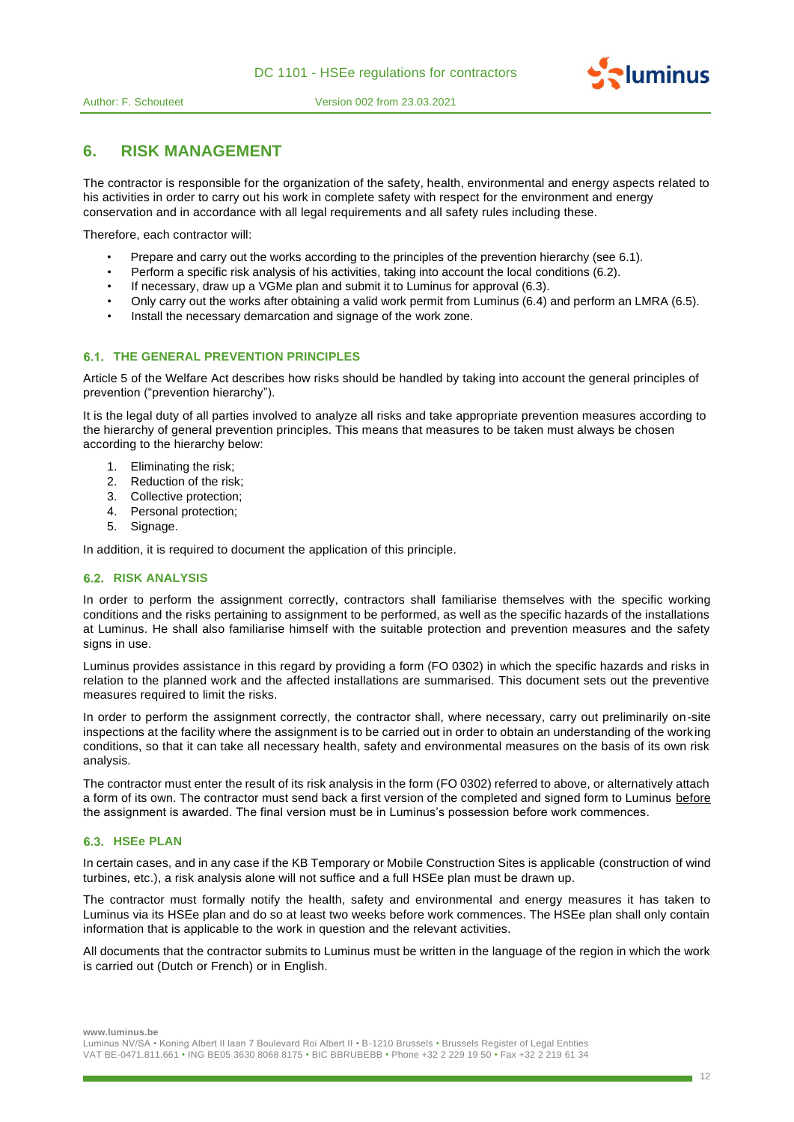

# **6. RISK MANAGEMENT**

The contractor is responsible for the organization of the safety, health, environmental and energy aspects related to his activities in order to carry out his work in complete safety with respect for the environment and energy conservation and in accordance with all legal requirements and all safety rules including these.

Therefore, each contractor will:

- Prepare and carry out the works according to the principles of the prevention hierarchy (see 6.1).
- Perform a specific risk analysis of his activities, taking into account the local conditions (6.2).
- If necessary, draw up a VGMe plan and submit it to Luminus for approval (6.3).
- Only carry out the works after obtaining a valid work permit from Luminus (6.4) and perform an LMRA (6.5).
- Install the necessary demarcation and signage of the work zone.

# **6.1. THE GENERAL PREVENTION PRINCIPLES**

Article 5 of the Welfare Act describes how risks should be handled by taking into account the general principles of prevention ("prevention hierarchy").

It is the legal duty of all parties involved to analyze all risks and take appropriate prevention measures according to the hierarchy of general prevention principles. This means that measures to be taken must always be chosen according to the hierarchy below:

- 1. Eliminating the risk;
- 2. Reduction of the risk;
- 3. Collective protection;
- 4. Personal protection;
- 5. Signage.

In addition, it is required to document the application of this principle.

# **RISK ANALYSIS**

In order to perform the assignment correctly, contractors shall familiarise themselves with the specific working conditions and the risks pertaining to assignment to be performed, as well as the specific hazards of the installations at Luminus. He shall also familiarise himself with the suitable protection and prevention measures and the safety signs in use.

Luminus provides assistance in this regard by providing a form (FO 0302) in which the specific hazards and risks in relation to the planned work and the affected installations are summarised. This document sets out the preventive measures required to limit the risks.

In order to perform the assignment correctly, the contractor shall, where necessary, carry out preliminarily on-site inspections at the facility where the assignment is to be carried out in order to obtain an understanding of the working conditions, so that it can take all necessary health, safety and environmental measures on the basis of its own risk analysis.

The contractor must enter the result of its risk analysis in the form (FO 0302) referred to above, or alternatively attach a form of its own. The contractor must send back a first version of the completed and signed form to Luminus before the assignment is awarded. The final version must be in Luminus's possession before work commences.

# **HSEe PLAN**

In certain cases, and in any case if the KB Temporary or Mobile Construction Sites is applicable (construction of wind turbines, etc.), a risk analysis alone will not suffice and a full HSEe plan must be drawn up.

The contractor must formally notify the health, safety and environmental and energy measures it has taken to Luminus via its HSEe plan and do so at least two weeks before work commences. The HSEe plan shall only contain information that is applicable to the work in question and the relevant activities.

All documents that the contractor submits to Luminus must be written in the language of the region in which the work is carried out (Dutch or French) or in English.

**www.luminus.be**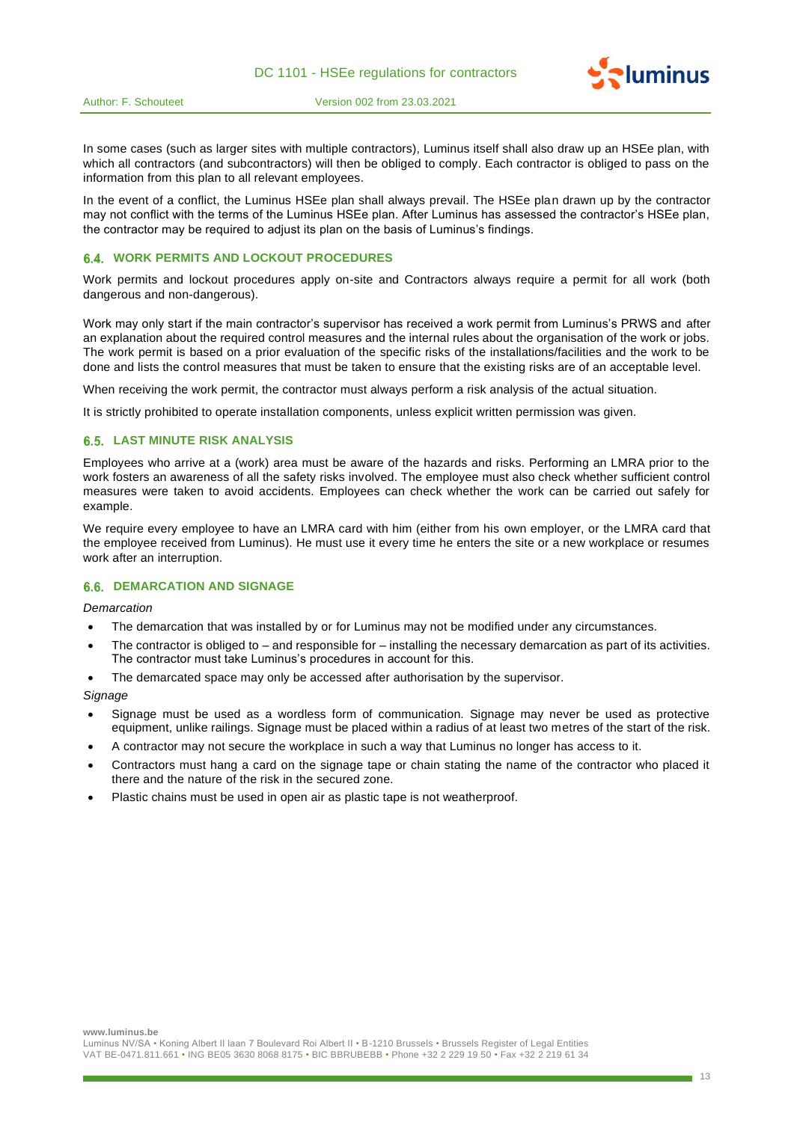



In some cases (such as larger sites with multiple contractors), Luminus itself shall also draw up an HSEe plan, with which all contractors (and subcontractors) will then be obliged to comply. Each contractor is obliged to pass on the information from this plan to all relevant employees.

In the event of a conflict, the Luminus HSEe plan shall always prevail. The HSEe plan drawn up by the contractor may not conflict with the terms of the Luminus HSEe plan. After Luminus has assessed the contractor's HSEe plan, the contractor may be required to adjust its plan on the basis of Luminus's findings.

# **WORK PERMITS AND LOCKOUT PROCEDURES**

Work permits and lockout procedures apply on-site and Contractors always require a permit for all work (both dangerous and non-dangerous).

Work may only start if the main contractor's supervisor has received a work permit from Luminus's PRWS and after an explanation about the required control measures and the internal rules about the organisation of the work or jobs. The work permit is based on a prior evaluation of the specific risks of the installations/facilities and the work to be done and lists the control measures that must be taken to ensure that the existing risks are of an acceptable level.

When receiving the work permit, the contractor must always perform a risk analysis of the actual situation.

It is strictly prohibited to operate installation components, unless explicit written permission was given.

#### **6.5. LAST MINUTE RISK ANALYSIS**

Employees who arrive at a (work) area must be aware of the hazards and risks. Performing an LMRA prior to the work fosters an awareness of all the safety risks involved. The employee must also check whether sufficient control measures were taken to avoid accidents. Employees can check whether the work can be carried out safely for example.

We require every employee to have an LMRA card with him (either from his own employer, or the LMRA card that the employee received from Luminus). He must use it every time he enters the site or a new workplace or resumes work after an interruption.

#### **6.6. DEMARCATION AND SIGNAGE**

*Demarcation*

- The demarcation that was installed by or for Luminus may not be modified under any circumstances.
- The contractor is obliged to  $-$  and responsible for  $-$  installing the necessary demarcation as part of its activities. The contractor must take Luminus's procedures in account for this.
- The demarcated space may only be accessed after authorisation by the supervisor.

*Signage*

- Signage must be used as a wordless form of communication. Signage may never be used as protective equipment, unlike railings. Signage must be placed within a radius of at least two metres of the start of the risk.
- A contractor may not secure the workplace in such a way that Luminus no longer has access to it.
- Contractors must hang a card on the signage tape or chain stating the name of the contractor who placed it there and the nature of the risk in the secured zone.
- Plastic chains must be used in open air as plastic tape is not weatherproof.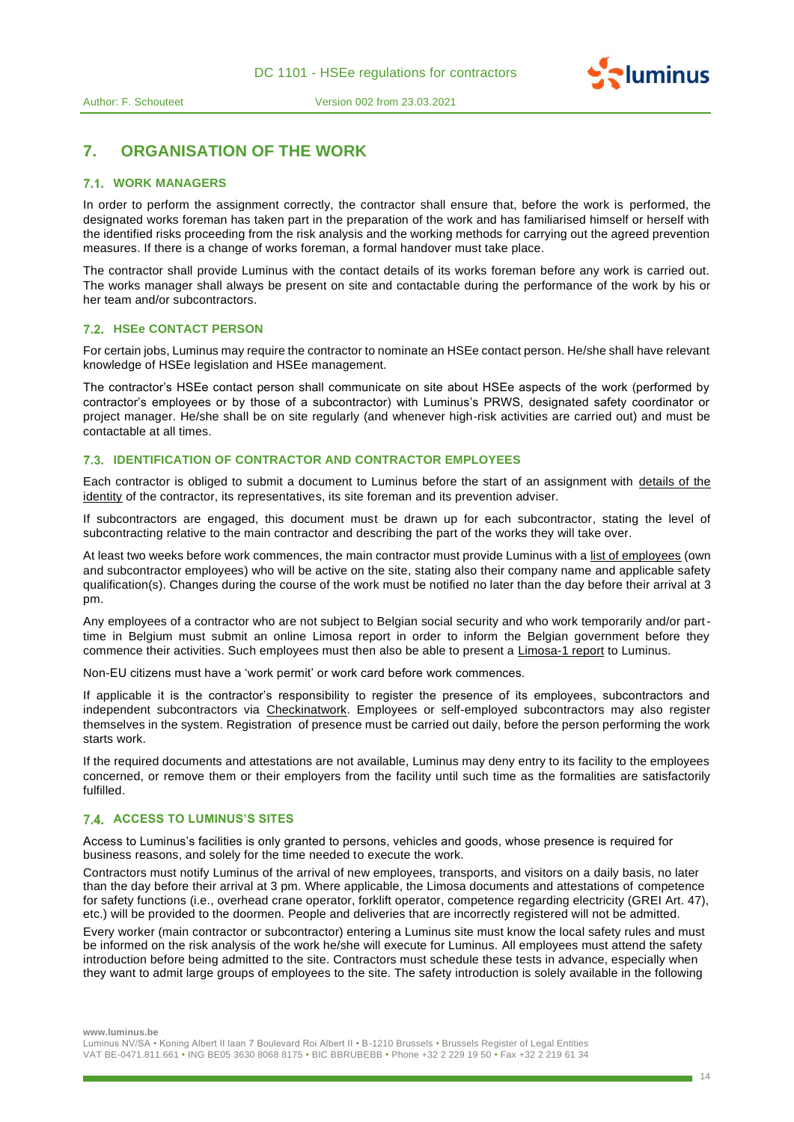

# **7. ORGANISATION OF THE WORK**

### **WORK MANAGERS**

In order to perform the assignment correctly, the contractor shall ensure that, before the work is performed, the designated works foreman has taken part in the preparation of the work and has familiarised himself or herself with the identified risks proceeding from the risk analysis and the working methods for carrying out the agreed prevention measures. If there is a change of works foreman, a formal handover must take place.

The contractor shall provide Luminus with the contact details of its works foreman before any work is carried out. The works manager shall always be present on site and contactable during the performance of the work by his or her team and/or subcontractors.

# **HSEe CONTACT PERSON**

For certain jobs, Luminus may require the contractor to nominate an HSEe contact person. He/she shall have relevant knowledge of HSEe legislation and HSEe management.

The contractor's HSEe contact person shall communicate on site about HSEe aspects of the work (performed by contractor's employees or by those of a subcontractor) with Luminus's PRWS, designated safety coordinator or project manager. He/she shall be on site regularly (and whenever high-risk activities are carried out) and must be contactable at all times.

# **7.3. IDENTIFICATION OF CONTRACTOR AND CONTRACTOR EMPLOYEES**

Each contractor is obliged to submit a document to Luminus before the start of an assignment with details of the identity of the contractor, its representatives, its site foreman and its prevention adviser.

If subcontractors are engaged, this document must be drawn up for each subcontractor, stating the level of subcontracting relative to the main contractor and describing the part of the works they will take over.

At least two weeks before work commences, the main contractor must provide Luminus with a list of employees (own and subcontractor employees) who will be active on the site, stating also their company name and applicable safety qualification(s). Changes during the course of the work must be notified no later than the day before their arrival at 3 pm.

Any employees of a contractor who are not subject to Belgian social security and who work temporarily and/or parttime in Belgium must submit an online Limosa report in order to inform the Belgian government before they commence their activities. Such employees must then also be able to present a **Limosa-1 report** to Luminus.

Non-EU citizens must have a 'work permit' or work card before work commences.

If applicable it is the contractor's responsibility to register the presence of its employees, subcontractors and independent subcontractors via Checkinatwork. Employees or self-employed subcontractors may also register themselves in the system. Registration of presence must be carried out daily, before the person performing the work starts work.

If the required documents and attestations are not available, Luminus may deny entry to its facility to the employees concerned, or remove them or their employers from the facility until such time as the formalities are satisfactorily fulfilled.

#### **ACCESS TO LUMINUS'S SITES**

Access to Luminus's facilities is only granted to persons, vehicles and goods, whose presence is required for business reasons, and solely for the time needed to execute the work.

Contractors must notify Luminus of the arrival of new employees, transports, and visitors on a daily basis, no later than the day before their arrival at 3 pm. Where applicable, the Limosa documents and attestations of competence for safety functions (i.e., overhead crane operator, forklift operator, competence regarding electricity (GREI Art. 47), etc.) will be provided to the doormen. People and deliveries that are incorrectly registered will not be admitted.

Every worker (main contractor or subcontractor) entering a Luminus site must know the local safety rules and must be informed on the risk analysis of the work he/she will execute for Luminus. All employees must attend the safety introduction before being admitted to the site. Contractors must schedule these tests in advance, especially when they want to admit large groups of employees to the site. The safety introduction is solely available in the following

**www.luminus.be**

Luminus NV/SA • Koning Albert II laan 7 Boulevard Roi Albert II • B-1210 Brussels • Brussels Register of Legal Entities VAT BE-0471.811.661 • ING BE05 3630 8068 8175 • BIC BBRUBEBB • Phone +32 2 229 19 50 • Fax +32 2 219 61 34 **Pluminus**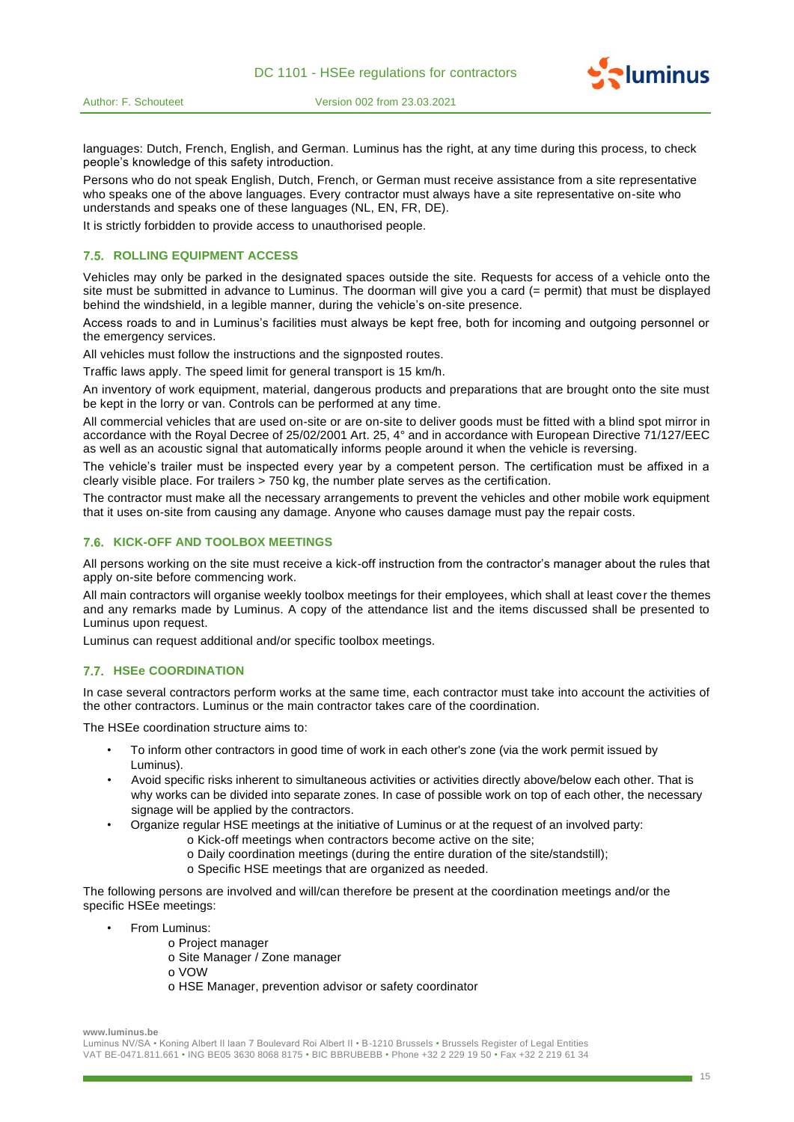



languages: Dutch, French, English, and German. Luminus has the right, at any time during this process, to check people's knowledge of this safety introduction.

Persons who do not speak English, Dutch, French, or German must receive assistance from a site representative who speaks one of the above languages. Every contractor must always have a site representative on-site who understands and speaks one of these languages (NL, EN, FR, DE).

It is strictly forbidden to provide access to unauthorised people.

# **7.5. ROLLING EQUIPMENT ACCESS**

Vehicles may only be parked in the designated spaces outside the site. Requests for access of a vehicle onto the site must be submitted in advance to Luminus. The doorman will give you a card (= permit) that must be displayed behind the windshield, in a legible manner, during the vehicle's on-site presence.

Access roads to and in Luminus's facilities must always be kept free, both for incoming and outgoing personnel or the emergency services.

All vehicles must follow the instructions and the signposted routes.

Traffic laws apply. The speed limit for general transport is 15 km/h.

An inventory of work equipment, material, dangerous products and preparations that are brought onto the site must be kept in the lorry or van. Controls can be performed at any time.

All commercial vehicles that are used on-site or are on-site to deliver goods must be fitted with a blind spot mirror in accordance with the Royal Decree of 25/02/2001 Art. 25, 4° and in accordance with European Directive 71/127/EEC as well as an acoustic signal that automatically informs people around it when the vehicle is reversing.

The vehicle's trailer must be inspected every year by a competent person. The certification must be affixed in a clearly visible place. For trailers > 750 kg, the number plate serves as the certification.

The contractor must make all the necessary arrangements to prevent the vehicles and other mobile work equipment that it uses on-site from causing any damage. Anyone who causes damage must pay the repair costs.

#### **7.6. KICK-OFF AND TOOLBOX MEETINGS**

All persons working on the site must receive a kick-off instruction from the contractor's manager about the rules that apply on-site before commencing work.

All main contractors will organise weekly toolbox meetings for their employees, which shall at least cover the themes and any remarks made by Luminus. A copy of the attendance list and the items discussed shall be presented to Luminus upon request.

Luminus can request additional and/or specific toolbox meetings.

#### **HSEe COORDINATION**

In case several contractors perform works at the same time, each contractor must take into account the activities of the other contractors. Luminus or the main contractor takes care of the coordination.

The HSEe coordination structure aims to:

- To inform other contractors in good time of work in each other's zone (via the work permit issued by Luminus).
- Avoid specific risks inherent to simultaneous activities or activities directly above/below each other. That is why works can be divided into separate zones. In case of possible work on top of each other, the necessary signage will be applied by the contractors.
- Organize regular HSE meetings at the initiative of Luminus or at the request of an involved party:
	- o Kick-off meetings when contractors become active on the site;
	- o Daily coordination meetings (during the entire duration of the site/standstill);
	- o Specific HSE meetings that are organized as needed.

The following persons are involved and will/can therefore be present at the coordination meetings and/or the specific HSEe meetings:

- From Luminus:
	- o Project manager
	- o Site Manager / Zone manager
	- o VOW
		- o HSE Manager, prevention advisor or safety coordinator

**www.luminus.be**

15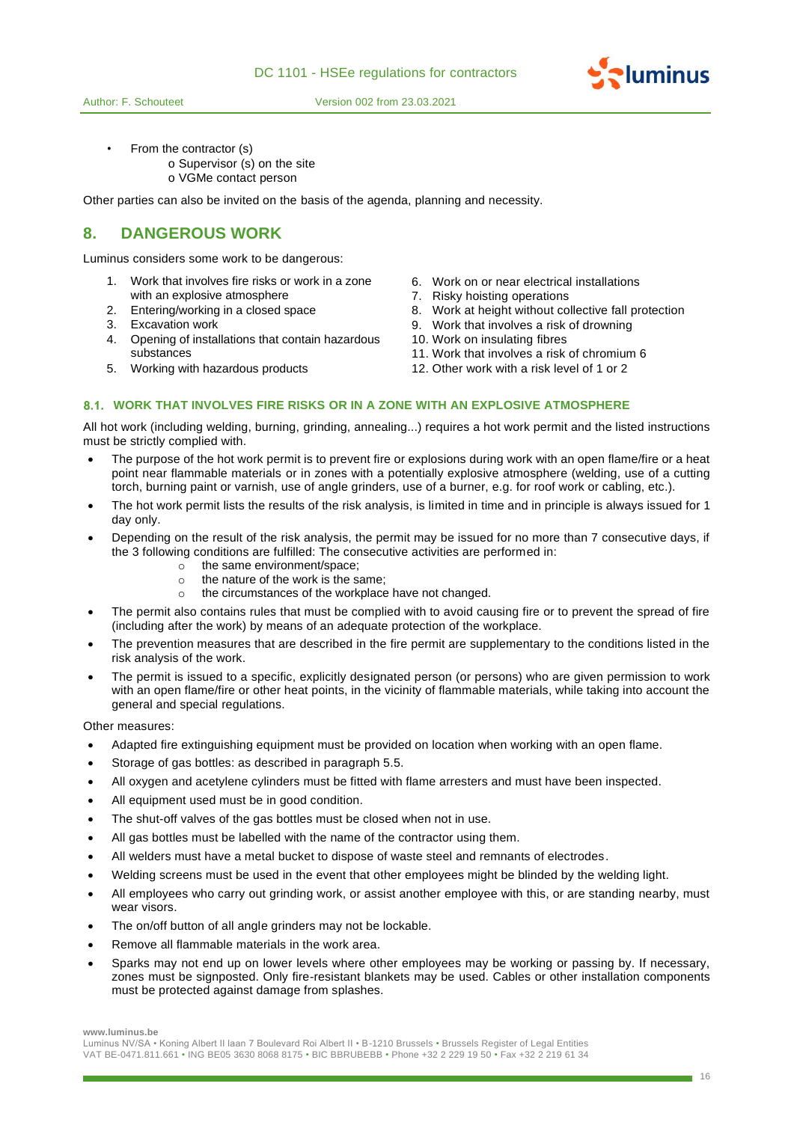



• From the contractor (s) o Supervisor (s) on the site o VGMe contact person

Other parties can also be invited on the basis of the agenda, planning and necessity.

# **8. DANGEROUS WORK**

Luminus considers some work to be dangerous:

- 1. Work that involves fire risks or work in a zone with an explosive atmosphere
- 
- 
- 4. Opening of installations that contain hazardous substances
- 
- 6. Work on or near electrical installations
- 7. Risky hoisting operations
- 2. Entering/working in a closed space 8. Work at height without collective fall protection
- 3. Excavation work 9. Work that involves a risk of drowning
	- 10. Work on insulating fibres
	- 11. Work that involves a risk of chromium 6
- 5. Working with hazardous products 12. Other work with a risk level of 1 or 2

# **WORK THAT INVOLVES FIRE RISKS OR IN A ZONE WITH AN EXPLOSIVE ATMOSPHERE**

All hot work (including welding, burning, grinding, annealing...) requires a hot work permit and the listed instructions must be strictly complied with.

- The purpose of the hot work permit is to prevent fire or explosions during work with an open flame/fire or a heat point near flammable materials or in zones with a potentially explosive atmosphere (welding, use of a cutting torch, burning paint or varnish, use of angle grinders, use of a burner, e.g. for roof work or cabling, etc.).
- The hot work permit lists the results of the risk analysis, is limited in time and in principle is always issued for 1 day only.
- Depending on the result of the risk analysis, the permit may be issued for no more than 7 consecutive days, if the 3 following conditions are fulfilled: The consecutive activities are performed in:
	- $\circ$  the same environment/space:
	- o the nature of the work is the same;
	- o the circumstances of the workplace have not changed.
- The permit also contains rules that must be complied with to avoid causing fire or to prevent the spread of fire (including after the work) by means of an adequate protection of the workplace.
- The prevention measures that are described in the fire permit are supplementary to the conditions listed in the risk analysis of the work.
- The permit is issued to a specific, explicitly designated person (or persons) who are given permission to work with an open flame/fire or other heat points, in the vicinity of flammable materials, while taking into account the general and special regulations.

Other measures:

- Adapted fire extinguishing equipment must be provided on location when working with an open flame.
- Storage of gas bottles: as described in paragraph 5.5.
- All oxygen and acetylene cylinders must be fitted with flame arresters and must have been inspected.
- All equipment used must be in good condition.
- The shut-off valves of the gas bottles must be closed when not in use.
- All gas bottles must be labelled with the name of the contractor using them.
- All welders must have a metal bucket to dispose of waste steel and remnants of electrodes.
- Welding screens must be used in the event that other employees might be blinded by the welding light.
- All employees who carry out grinding work, or assist another employee with this, or are standing nearby, must wear visors.
- The on/off button of all angle grinders may not be lockable.
- Remove all flammable materials in the work area.
- Sparks may not end up on lower levels where other employees may be working or passing by. If necessary, zones must be signposted. Only fire-resistant blankets may be used. Cables or other installation components must be protected against damage from splashes.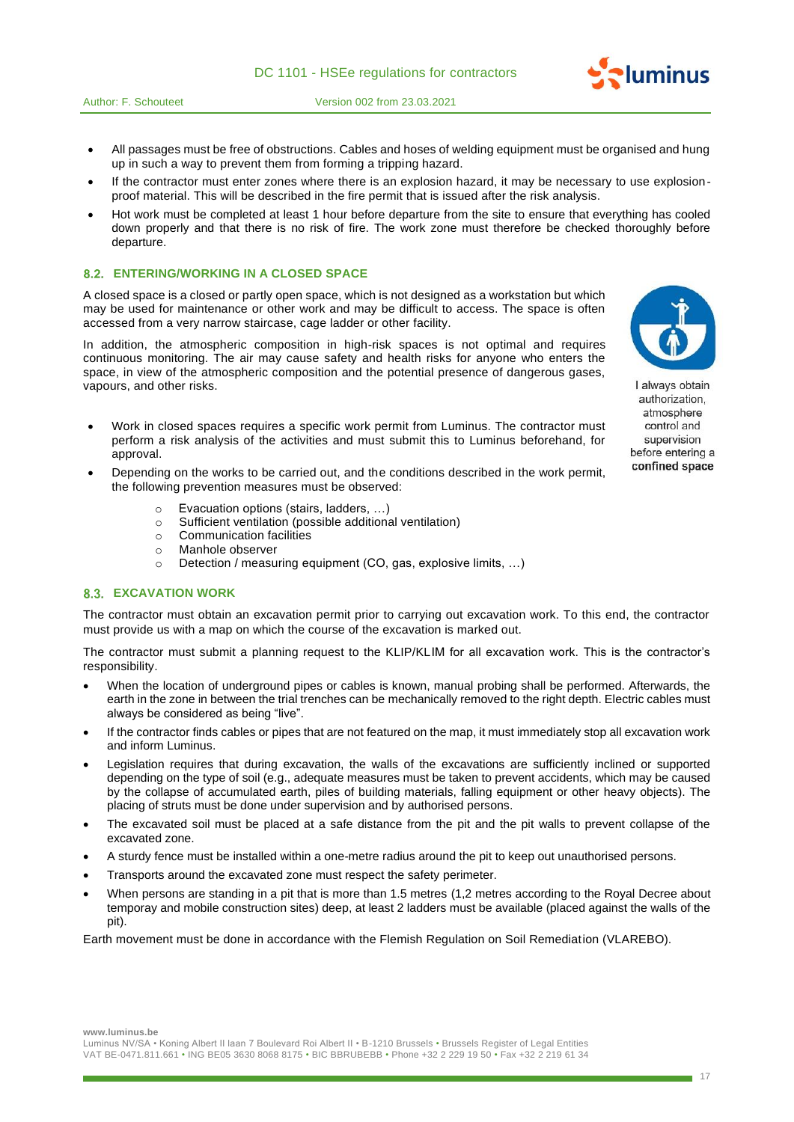

- All passages must be free of obstructions. Cables and hoses of welding equipment must be organised and hung up in such a way to prevent them from forming a tripping hazard.
- If the contractor must enter zones where there is an explosion hazard, it may be necessary to use explosionproof material. This will be described in the fire permit that is issued after the risk analysis.
- Hot work must be completed at least 1 hour before departure from the site to ensure that everything has cooled down properly and that there is no risk of fire. The work zone must therefore be checked thoroughly before departure.

### **ENTERING/WORKING IN A CLOSED SPACE**

A closed space is a closed or partly open space, which is not designed as a workstation but which may be used for maintenance or other work and may be difficult to access. The space is often accessed from a very narrow staircase, cage ladder or other facility.

In addition, the atmospheric composition in high-risk spaces is not optimal and requires continuous monitoring. The air may cause safety and health risks for anyone who enters the space, in view of the atmospheric composition and the potential presence of dangerous gases, vapours, and other risks.

- Work in closed spaces requires a specific work permit from Luminus. The contractor must perform a risk analysis of the activities and must submit this to Luminus beforehand, for approval.
- Depending on the works to be carried out, and the conditions described in the work permit, the following prevention measures must be observed:
	- o Evacuation options (stairs, ladders, …)
	- o Sufficient ventilation (possible additional ventilation)
	- o Communication facilities
	- o Manhole observer
	- o Detection / measuring equipment (CO, gas, explosive limits, …)

# **8.3. EXCAVATION WORK**

The contractor must obtain an excavation permit prior to carrying out excavation work. To this end, the contractor must provide us with a map on which the course of the excavation is marked out.

The contractor must submit a planning request to the KLIP/KLIM for all excavation work. This is the contractor's responsibility.

- When the location of underground pipes or cables is known, manual probing shall be performed. Afterwards, the earth in the zone in between the trial trenches can be mechanically removed to the right depth. Electric cables must always be considered as being "live".
- If the contractor finds cables or pipes that are not featured on the map, it must immediately stop all excavation work and inform Luminus.
- Legislation requires that during excavation, the walls of the excavations are sufficiently inclined or supported depending on the type of soil (e.g., adequate measures must be taken to prevent accidents, which may be caused by the collapse of accumulated earth, piles of building materials, falling equipment or other heavy objects). The placing of struts must be done under supervision and by authorised persons.
- The excavated soil must be placed at a safe distance from the pit and the pit walls to prevent collapse of the excavated zone.
- A sturdy fence must be installed within a one-metre radius around the pit to keep out unauthorised persons.
- Transports around the excavated zone must respect the safety perimeter.
- When persons are standing in a pit that is more than 1.5 metres (1,2 metres according to the Royal Decree about temporay and mobile construction sites) deep, at least 2 ladders must be available (placed against the walls of the pit).

Earth movement must be done in accordance with the Flemish Regulation on Soil Remediation (VLAREBO).



I always obtain authorization, atmosphere control and supervision before entering a confined space

**www.luminus.be**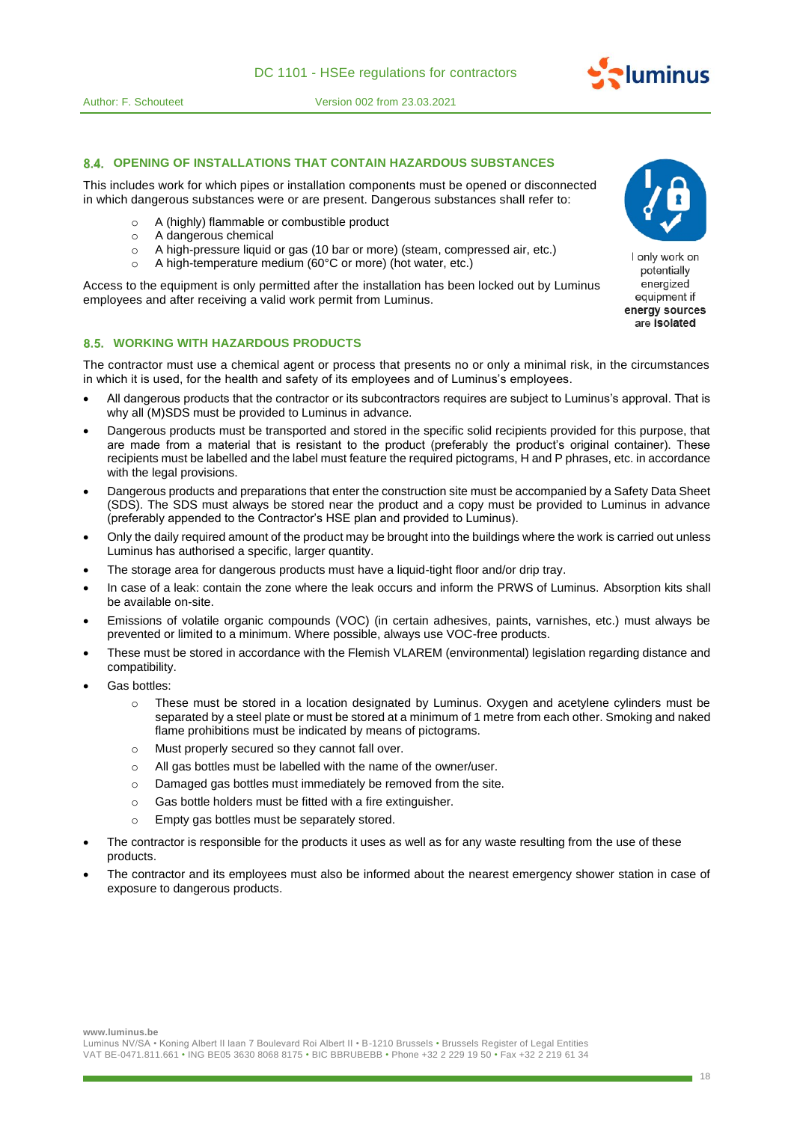

### **OPENING OF INSTALLATIONS THAT CONTAIN HAZARDOUS SUBSTANCES**

This includes work for which pipes or installation components must be opened or disconnected in which dangerous substances were or are present. Dangerous substances shall refer to:

- o A (highly) flammable or combustible product
- o A dangerous chemical
- o A high-pressure liquid or gas (10 bar or more) (steam, compressed air, etc.)
- o A high-temperature medium (60°C or more) (hot water, etc.)

Access to the equipment is only permitted after the installation has been locked out by Luminus employees and after receiving a valid work permit from Luminus.



I only work on potentially energized equipment if energy sources are isolated

# **WORKING WITH HAZARDOUS PRODUCTS**

The contractor must use a chemical agent or process that presents no or only a minimal risk, in the circumstances in which it is used, for the health and safety of its employees and of Luminus's employees.

- All dangerous products that the contractor or its subcontractors requires are subject to Luminus's approval. That is why all (M)SDS must be provided to Luminus in advance.
- Dangerous products must be transported and stored in the specific solid recipients provided for this purpose, that are made from a material that is resistant to the product (preferably the product's original container). These recipients must be labelled and the label must feature the required pictograms, H and P phrases, etc. in accordance with the legal provisions.
- Dangerous products and preparations that enter the construction site must be accompanied by a Safety Data Sheet (SDS). The SDS must always be stored near the product and a copy must be provided to Luminus in advance (preferably appended to the Contractor's HSE plan and provided to Luminus).
- Only the daily required amount of the product may be brought into the buildings where the work is carried out unless Luminus has authorised a specific, larger quantity.
- The storage area for dangerous products must have a liquid-tight floor and/or drip tray.
- In case of a leak: contain the zone where the leak occurs and inform the PRWS of Luminus. Absorption kits shall be available on-site.
- Emissions of volatile organic compounds (VOC) (in certain adhesives, paints, varnishes, etc.) must always be prevented or limited to a minimum. Where possible, always use VOC-free products.
- These must be stored in accordance with the Flemish VLAREM (environmental) legislation regarding distance and compatibility.
- Gas bottles:
	- $\circ$  These must be stored in a location designated by Luminus. Oxygen and acetylene cylinders must be separated by a steel plate or must be stored at a minimum of 1 metre from each other. Smoking and naked flame prohibitions must be indicated by means of pictograms.
	- o Must properly secured so they cannot fall over.
	- o All gas bottles must be labelled with the name of the owner/user.
	- o Damaged gas bottles must immediately be removed from the site.
	- o Gas bottle holders must be fitted with a fire extinguisher.
	- o Empty gas bottles must be separately stored.
- The contractor is responsible for the products it uses as well as for any waste resulting from the use of these products.
- The contractor and its employees must also be informed about the nearest emergency shower station in case of exposure to dangerous products.

**www.luminus.be**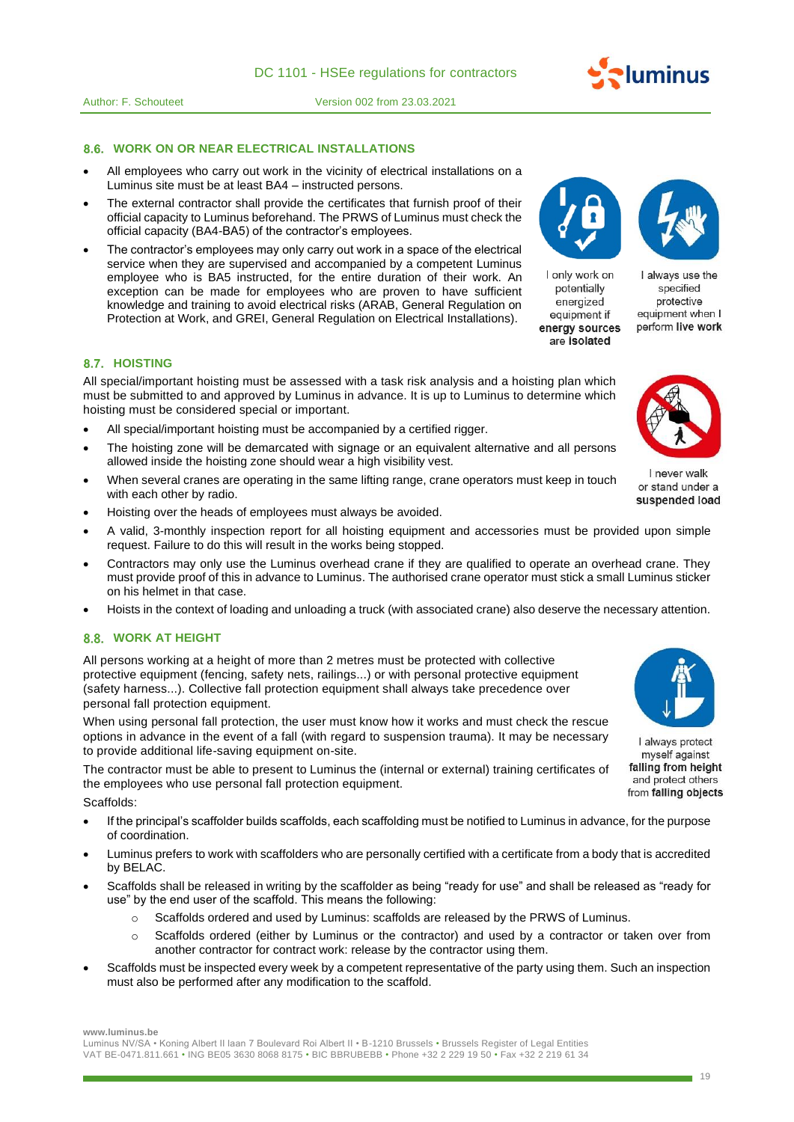**WORK ON OR NEAR ELECTRICAL INSTALLATIONS** 

Author: F. Schouteet Version 002 from 23.03.2021

- All employees who carry out work in the vicinity of electrical installations on a Luminus site must be at least BA4 – instructed persons.
- The external contractor shall provide the certificates that furnish proof of their official capacity to Luminus beforehand. The PRWS of Luminus must check the official capacity (BA4-BA5) of the contractor's employees.
- The contractor's employees may only carry out work in a space of the electrical service when they are supervised and accompanied by a competent Luminus employee who is BA5 instructed, for the entire duration of their work. An exception can be made for employees who are proven to have sufficient knowledge and training to avoid electrical risks (ARAB, General Regulation on Protection at Work, and GREI, General Regulation on Electrical Installations).

# **8.7. HOISTING**

All special/important hoisting must be assessed with a task risk analysis and a hoisting plan which must be submitted to and approved by Luminus in advance. It is up to Luminus to determine which hoisting must be considered special or important.

- All special/important hoisting must be accompanied by a certified rigger.
- The hoisting zone will be demarcated with signage or an equivalent alternative and all persons allowed inside the hoisting zone should wear a high visibility vest.
- When several cranes are operating in the same lifting range, crane operators must keep in touch with each other by radio.
- Hoisting over the heads of employees must always be avoided.
- A valid, 3-monthly inspection report for all hoisting equipment and accessories must be provided upon simple request. Failure to do this will result in the works being stopped.
- Contractors may only use the Luminus overhead crane if they are qualified to operate an overhead crane. They must provide proof of this in advance to Luminus. The authorised crane operator must stick a small Luminus sticker on his helmet in that case.
- Hoists in the context of loading and unloading a truck (with associated crane) also deserve the necessary attention.

### **WORK AT HEIGHT**

All persons working at a height of more than 2 metres must be protected with collective protective equipment (fencing, safety nets, railings...) or with personal protective equipment (safety harness...). Collective fall protection equipment shall always take precedence over personal fall protection equipment.

When using personal fall protection, the user must know how it works and must check the rescue options in advance in the event of a fall (with regard to suspension trauma). It may be necessary to provide additional life-saving equipment on-site.

The contractor must be able to present to Luminus the (internal or external) training certificates of the employees who use personal fall protection equipment.

Scaffolds:

- If the principal's scaffolder builds scaffolds, each scaffolding must be notified to Luminus in advance, for the purpose of coordination.
- Luminus prefers to work with scaffolders who are personally certified with a certificate from a body that is accredited by BELAC.
- Scaffolds shall be released in writing by the scaffolder as being "ready for use" and shall be released as "ready for use" by the end user of the scaffold. This means the following:
	- o Scaffolds ordered and used by Luminus: scaffolds are released by the PRWS of Luminus.
	- o Scaffolds ordered (either by Luminus or the contractor) and used by a contractor or taken over from another contractor for contract work: release by the contractor using them.
- Scaffolds must be inspected every week by a competent representative of the party using them. Such an inspection must also be performed after any modification to the scaffold.

**www.luminus.be**

Luminus NV/SA • Koning Albert II laan 7 Boulevard Roi Albert II • B-1210 Brussels • Brussels Register of Legal Entities VAT BE-0471.811.661 • ING BE05 3630 8068 8175 • BIC BBRUBEBB • Phone +32 2 229 19 50 • Fax +32 2 219 61 34

I never walk or stand under a suspended load



and protect others from falling objects

I always use the specified protective equipment when I

perform live work



I only work on

potentially

eneraized equipment if

energy sources are isolated



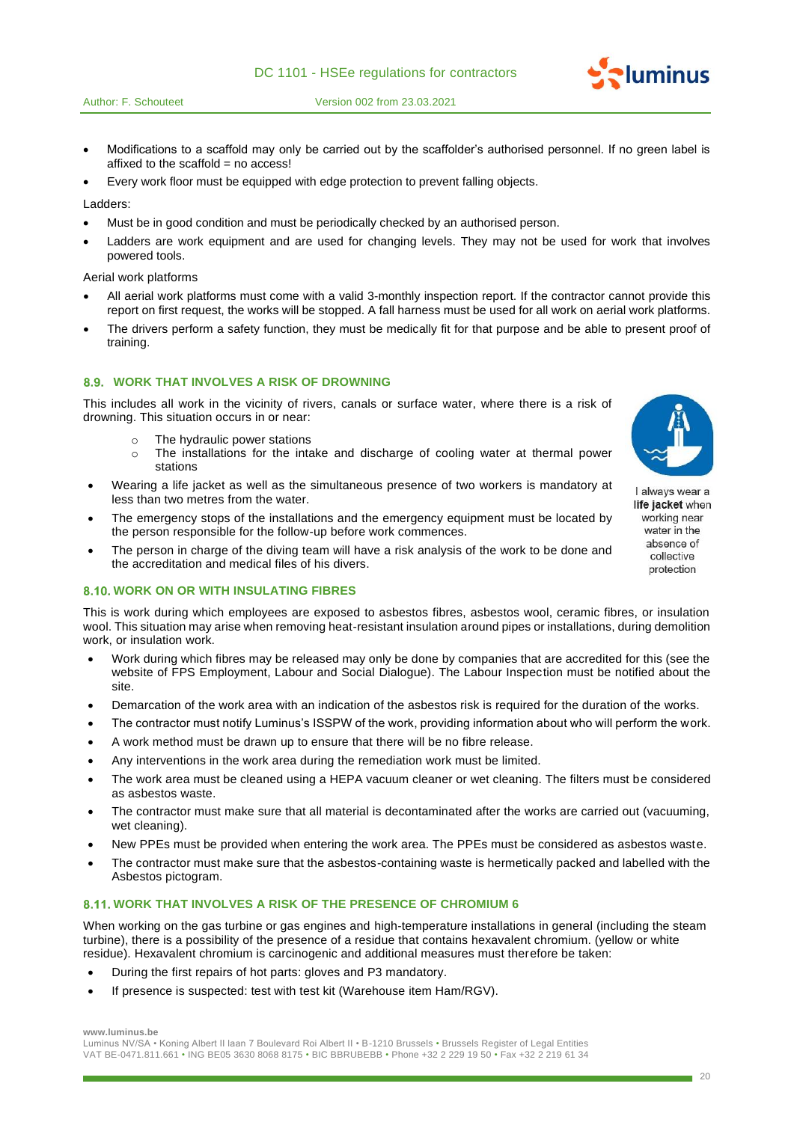

- Modifications to a scaffold may only be carried out by the scaffolder's authorised personnel. If no green label is affixed to the scaffold  $=$  no access!
- Every work floor must be equipped with edge protection to prevent falling objects.

Ladders:

- Must be in good condition and must be periodically checked by an authorised person.
- Ladders are work equipment and are used for changing levels. They may not be used for work that involves powered tools.

Aerial work platforms

- All aerial work platforms must come with a valid 3-monthly inspection report. If the contractor cannot provide this report on first request, the works will be stopped. A fall harness must be used for all work on aerial work platforms.
- The drivers perform a safety function, they must be medically fit for that purpose and be able to present proof of training.

#### **WORK THAT INVOLVES A RISK OF DROWNING**

This includes all work in the vicinity of rivers, canals or surface water, where there is a risk of drowning. This situation occurs in or near:

- o The hydraulic power stations
- $\circ$  The installations for the intake and discharge of cooling water at thermal power stations
- Wearing a life jacket as well as the simultaneous presence of two workers is mandatory at less than two metres from the water.
- The emergency stops of the installations and the emergency equipment must be located by the person responsible for the follow-up before work commences.
- The person in charge of the diving team will have a risk analysis of the work to be done and the accreditation and medical files of his divers.

### **8.10. WORK ON OR WITH INSULATING FIBRES**

This is work during which employees are exposed to asbestos fibres, asbestos wool, ceramic fibres, or insulation wool. This situation may arise when removing heat-resistant insulation around pipes or installations, during demolition work, or insulation work.

- Work during which fibres may be released may only be done by companies that are accredited for this (see the website of FPS Employment, Labour and Social Dialogue). The Labour Inspection must be notified about the site.
- Demarcation of the work area with an indication of the asbestos risk is required for the duration of the works.
- The contractor must notify Luminus's ISSPW of the work, providing information about who will perform the work.
- A work method must be drawn up to ensure that there will be no fibre release.
- Any interventions in the work area during the remediation work must be limited.
- The work area must be cleaned using a HEPA vacuum cleaner or wet cleaning. The filters must be considered as asbestos waste.
- The contractor must make sure that all material is decontaminated after the works are carried out (vacuuming, wet cleaning).
- New PPEs must be provided when entering the work area. The PPEs must be considered as asbestos waste.
- The contractor must make sure that the asbestos-containing waste is hermetically packed and labelled with the Asbestos pictogram.

# **WORK THAT INVOLVES A RISK OF THE PRESENCE OF CHROMIUM 6**

When working on the gas turbine or gas engines and high-temperature installations in general (including the steam turbine), there is a possibility of the presence of a residue that contains hexavalent chromium. (yellow or white residue). Hexavalent chromium is carcinogenic and additional measures must therefore be taken:

- During the first repairs of hot parts: gloves and P3 mandatory.
- If presence is suspected: test with test kit (Warehouse item Ham/RGV).

**www.luminus.be**

Luminus NV/SA • Koning Albert II laan 7 Boulevard Roi Albert II • B-1210 Brussels • Brussels Register of Legal Entities VAT BE-0471.811.661 • ING BE05 3630 8068 8175 • BIC BBRUBEBB • Phone +32 2 229 19 50 • Fax +32 2 219 61 34



*<u>duminus</u>* 

I always wear a life jacket when working near water in the absence of collective protection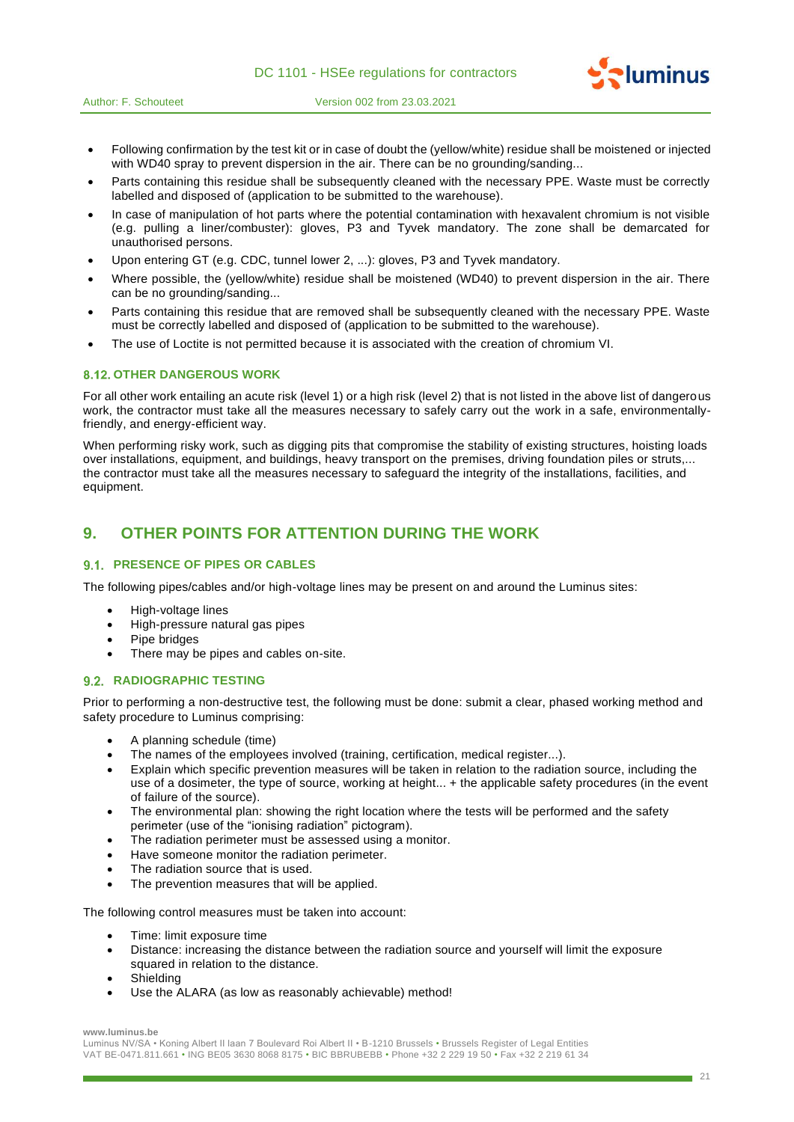|  |  |  |  | DC 1101 - HSEe regulations for contractors |  |  |
|--|--|--|--|--------------------------------------------|--|--|
|--|--|--|--|--------------------------------------------|--|--|





- Parts containing this residue shall be subsequently cleaned with the necessary PPE. Waste must be correctly labelled and disposed of (application to be submitted to the warehouse).
- In case of manipulation of hot parts where the potential contamination with hexavalent chromium is not visible (e.g. pulling a liner/combuster): gloves, P3 and Tyvek mandatory. The zone shall be demarcated for unauthorised persons.
- Upon entering GT (e.g. CDC, tunnel lower 2, ...): gloves, P3 and Tyvek mandatory.
- Where possible, the (yellow/white) residue shall be moistened (WD40) to prevent dispersion in the air. There can be no grounding/sanding...
- Parts containing this residue that are removed shall be subsequently cleaned with the necessary PPE. Waste must be correctly labelled and disposed of (application to be submitted to the warehouse).
- The use of Loctite is not permitted because it is associated with the creation of chromium VI.

# **8.12. OTHER DANGEROUS WORK**

For all other work entailing an acute risk (level 1) or a high risk (level 2) that is not listed in the above list of dangerous work, the contractor must take all the measures necessary to safely carry out the work in a safe, environmentallyfriendly, and energy-efficient way.

When performing risky work, such as digging pits that compromise the stability of existing structures, hoisting loads over installations, equipment, and buildings, heavy transport on the premises, driving foundation piles or struts,... the contractor must take all the measures necessary to safeguard the integrity of the installations, facilities, and equipment.

# **9. OTHER POINTS FOR ATTENTION DURING THE WORK**

# **PRESENCE OF PIPES OR CABLES**

The following pipes/cables and/or high-voltage lines may be present on and around the Luminus sites:

- High-voltage lines
- High-pressure natural gas pipes
- Pipe bridges
- There may be pipes and cables on-site.

#### **9.2. RADIOGRAPHIC TESTING**

Prior to performing a non-destructive test, the following must be done: submit a clear, phased working method and safety procedure to Luminus comprising:

- A planning schedule (time)
- The names of the employees involved (training, certification, medical register...).
- Explain which specific prevention measures will be taken in relation to the radiation source, including the use of a dosimeter, the type of source, working at height... + the applicable safety procedures (in the event of failure of the source).
- The environmental plan: showing the right location where the tests will be performed and the safety perimeter (use of the "ionising radiation" pictogram).
- The radiation perimeter must be assessed using a monitor.
- Have someone monitor the radiation perimeter.
- The radiation source that is used.
- The prevention measures that will be applied.

The following control measures must be taken into account:

- Time: limit exposure time
- Distance: increasing the distance between the radiation source and yourself will limit the exposure squared in relation to the distance.
- **Shielding**
- Use the ALARA (as low as reasonably achievable) method!

#### **www.luminus.be**

Luminus NV/SA • Koning Albert II laan 7 Boulevard Roi Albert II • B-1210 Brussels • Brussels Register of Legal Entities VAT BE-0471.811.661 • ING BE05 3630 8068 8175 • BIC BBRUBEBB • Phone +32 2 229 19 50 • Fax +32 2 219 61 34 **Pluminus**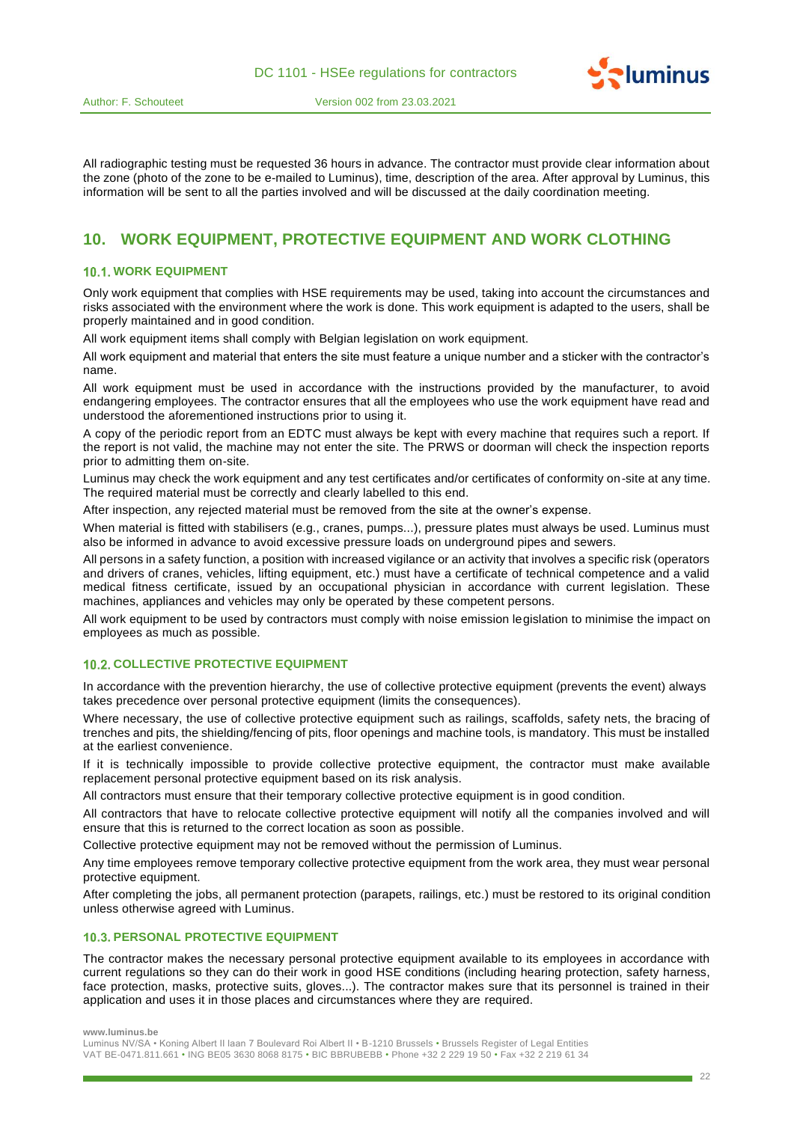

All radiographic testing must be requested 36 hours in advance. The contractor must provide clear information about the zone (photo of the zone to be e-mailed to Luminus), time, description of the area. After approval by Luminus, this information will be sent to all the parties involved and will be discussed at the daily coordination meeting.

# **10. WORK EQUIPMENT, PROTECTIVE EQUIPMENT AND WORK CLOTHING**

# **10.1. WORK EQUIPMENT**

Only work equipment that complies with HSE requirements may be used, taking into account the circumstances and risks associated with the environment where the work is done. This work equipment is adapted to the users, shall be properly maintained and in good condition.

All work equipment items shall comply with Belgian legislation on work equipment.

All work equipment and material that enters the site must feature a unique number and a sticker with the contractor's name.

All work equipment must be used in accordance with the instructions provided by the manufacturer, to avoid endangering employees. The contractor ensures that all the employees who use the work equipment have read and understood the aforementioned instructions prior to using it.

A copy of the periodic report from an EDTC must always be kept with every machine that requires such a report. If the report is not valid, the machine may not enter the site. The PRWS or doorman will check the inspection reports prior to admitting them on-site.

Luminus may check the work equipment and any test certificates and/or certificates of conformity on-site at any time. The required material must be correctly and clearly labelled to this end.

After inspection, any rejected material must be removed from the site at the owner's expense.

When material is fitted with stabilisers (e.g., cranes, pumps...), pressure plates must always be used. Luminus must also be informed in advance to avoid excessive pressure loads on underground pipes and sewers.

All persons in a safety function, a position with increased vigilance or an activity that involves a specific risk (operators and drivers of cranes, vehicles, lifting equipment, etc.) must have a certificate of technical competence and a valid medical fitness certificate, issued by an occupational physician in accordance with current legislation. These machines, appliances and vehicles may only be operated by these competent persons.

All work equipment to be used by contractors must comply with noise emission legislation to minimise the impact on employees as much as possible.

# **10.2. COLLECTIVE PROTECTIVE EQUIPMENT**

In accordance with the prevention hierarchy, the use of collective protective equipment (prevents the event) always takes precedence over personal protective equipment (limits the consequences).

Where necessary, the use of collective protective equipment such as railings, scaffolds, safety nets, the bracing of trenches and pits, the shielding/fencing of pits, floor openings and machine tools, is mandatory. This must be installed at the earliest convenience.

If it is technically impossible to provide collective protective equipment, the contractor must make available replacement personal protective equipment based on its risk analysis.

All contractors must ensure that their temporary collective protective equipment is in good condition.

All contractors that have to relocate collective protective equipment will notify all the companies involved and will ensure that this is returned to the correct location as soon as possible.

Collective protective equipment may not be removed without the permission of Luminus.

Any time employees remove temporary collective protective equipment from the work area, they must wear personal protective equipment.

After completing the jobs, all permanent protection (parapets, railings, etc.) must be restored to its original condition unless otherwise agreed with Luminus.

#### **10.3. PERSONAL PROTECTIVE EQUIPMENT**

The contractor makes the necessary personal protective equipment available to its employees in accordance with current regulations so they can do their work in good HSE conditions (including hearing protection, safety harness, face protection, masks, protective suits, gloves...). The contractor makes sure that its personnel is trained in their application and uses it in those places and circumstances where they are required.

**www.luminus.be**

Luminus NV/SA • Koning Albert II laan 7 Boulevard Roi Albert II • B-1210 Brussels • Brussels Register of Legal Entities VAT BE-0471.811.661 • ING BE05 3630 8068 8175 • BIC BBRUBEBB • Phone +32 2 229 19 50 • Fax +32 2 219 61 34 **Pluminus**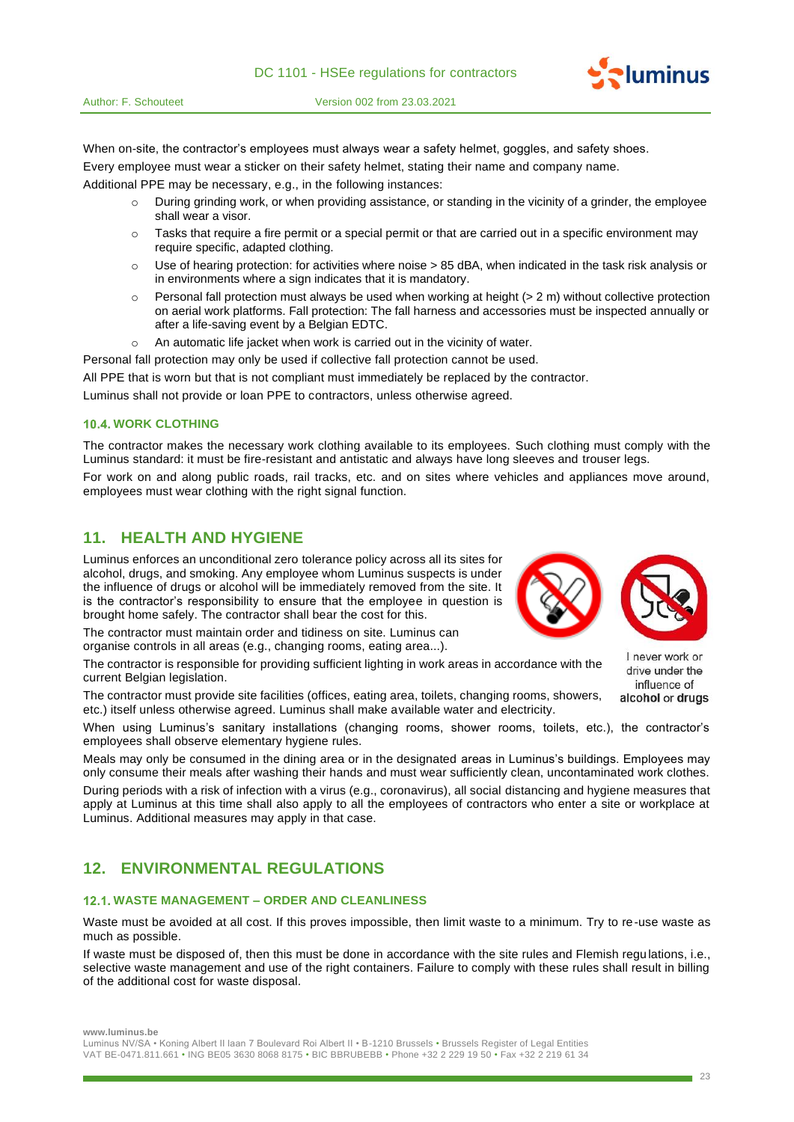

When on-site, the contractor's employees must always wear a safety helmet, goggles, and safety shoes. Every employee must wear a sticker on their safety helmet, stating their name and company name.

Additional PPE may be necessary, e.g., in the following instances:

- $\circ$  During grinding work, or when providing assistance, or standing in the vicinity of a grinder, the employee shall wear a visor.
- $\circ$  Tasks that require a fire permit or a special permit or that are carried out in a specific environment may require specific, adapted clothing.
- $\circ$  Use of hearing protection: for activities where noise  $> 85$  dBA, when indicated in the task risk analysis or in environments where a sign indicates that it is mandatory.
- o Personal fall protection must always be used when working at height (> 2 m) without collective protection on aerial work platforms. Fall protection: The fall harness and accessories must be inspected annually or after a life-saving event by a Belgian EDTC.
- o An automatic life jacket when work is carried out in the vicinity of water.

Personal fall protection may only be used if collective fall protection cannot be used.

All PPE that is worn but that is not compliant must immediately be replaced by the contractor.

Luminus shall not provide or loan PPE to contractors, unless otherwise agreed.

# **10.4. WORK CLOTHING**

The contractor makes the necessary work clothing available to its employees. Such clothing must comply with the Luminus standard: it must be fire-resistant and antistatic and always have long sleeves and trouser legs.

For work on and along public roads, rail tracks, etc. and on sites where vehicles and appliances move around, employees must wear clothing with the right signal function.

# **11. HEALTH AND HYGIENE**

Luminus enforces an unconditional zero tolerance policy across all its sites for alcohol, drugs, and smoking. Any employee whom Luminus suspects is under the influence of drugs or alcohol will be immediately removed from the site. It is the contractor's responsibility to ensure that the employee in question is brought home safely. The contractor shall bear the cost for this.

The contractor must maintain order and tidiness on site. Luminus can organise controls in all areas (e.g., changing rooms, eating area...).

The contractor is responsible for providing sufficient lighting in work areas in accordance with the current Belgian legislation.

The contractor must provide site facilities (offices, eating area, toilets, changing rooms, showers, etc.) itself unless otherwise agreed. Luminus shall make available water and electricity.

When using Luminus's sanitary installations (changing rooms, shower rooms, toilets, etc.), the contractor's employees shall observe elementary hygiene rules.

Meals may only be consumed in the dining area or in the designated areas in Luminus's buildings. Employees may only consume their meals after washing their hands and must wear sufficiently clean, uncontaminated work clothes. During periods with a risk of infection with a virus (e.g., coronavirus), all social distancing and hygiene measures that apply at Luminus at this time shall also apply to all the employees of contractors who enter a site or workplace at Luminus. Additional measures may apply in that case.

# **12. ENVIRONMENTAL REGULATIONS**

# **WASTE MANAGEMENT – ORDER AND CLEANLINESS**

Waste must be avoided at all cost. If this proves impossible, then limit waste to a minimum. Try to re-use waste as much as possible.

If waste must be disposed of, then this must be done in accordance with the site rules and Flemish regulations, i.e., selective waste management and use of the right containers. Failure to comply with these rules shall result in billing of the additional cost for waste disposal.

**www.luminus.be**

Luminus NV/SA • Koning Albert II laan 7 Boulevard Roi Albert II • B-1210 Brussels • Brussels Register of Legal Entities VAT BE-0471.811.661 • ING BE05 3630 8068 8175 • BIC BBRUBEBB • Phone +32 2 229 19 50 • Fax +32 2 219 61 34





*<u>•luminus</u>* 

I never work or drive under the influence of alcohol or drugs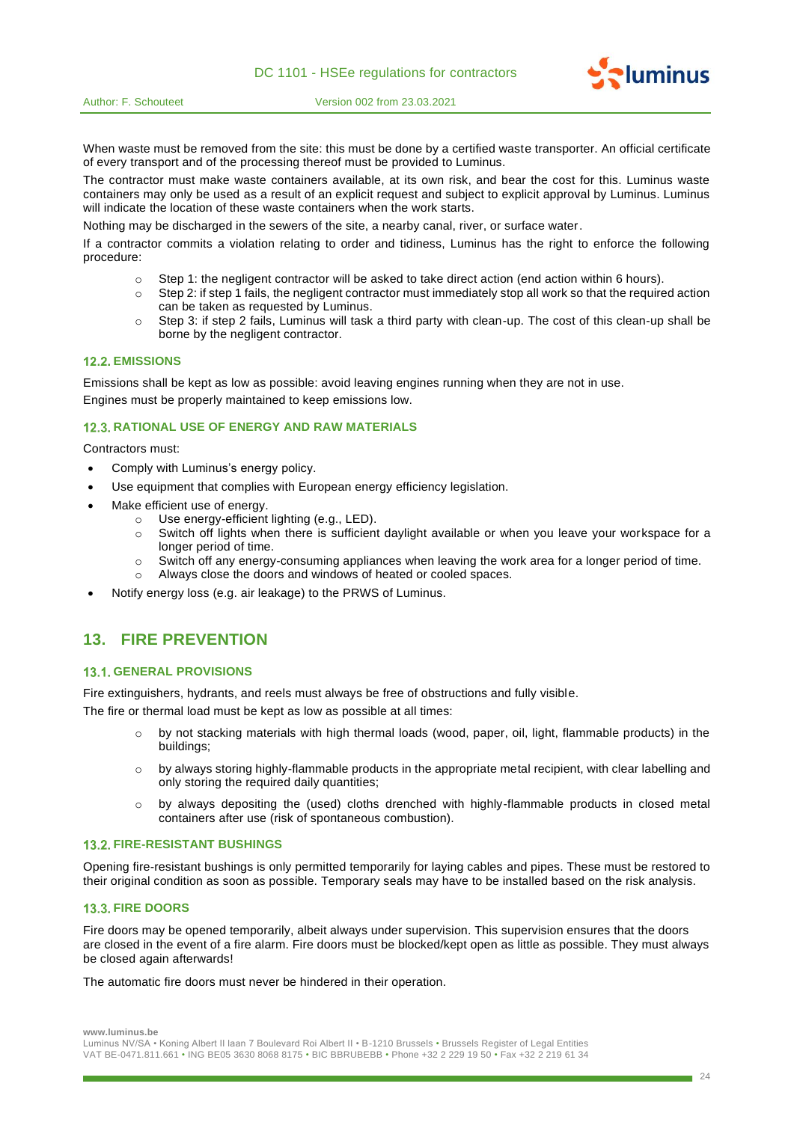

When waste must be removed from the site: this must be done by a certified waste transporter. An official certificate of every transport and of the processing thereof must be provided to Luminus.

The contractor must make waste containers available, at its own risk, and bear the cost for this. Luminus waste containers may only be used as a result of an explicit request and subject to explicit approval by Luminus. Luminus will indicate the location of these waste containers when the work starts.

Nothing may be discharged in the sewers of the site, a nearby canal, river, or surface water.

If a contractor commits a violation relating to order and tidiness, Luminus has the right to enforce the following procedure:

- o Step 1: the negligent contractor will be asked to take direct action (end action within 6 hours).
- $\circ$  Step 2: if step 1 fails, the negligent contractor must immediately stop all work so that the required action can be taken as requested by Luminus.
- o Step 3: if step 2 fails, Luminus will task a third party with clean-up. The cost of this clean-up shall be borne by the negligent contractor.

# **12.2. EMISSIONS**

Emissions shall be kept as low as possible: avoid leaving engines running when they are not in use. Engines must be properly maintained to keep emissions low.

#### **12.3. RATIONAL USE OF ENERGY AND RAW MATERIALS**

Contractors must:

- Comply with Luminus's energy policy.
- Use equipment that complies with European energy efficiency legislation.
- Make efficient use of energy.
	- o Use energy-efficient lighting (e.g., LED).
	- $\circ$  Switch off lights when there is sufficient daylight available or when you leave your workspace for a longer period of time.
	- $\circ$  Switch off any energy-consuming appliances when leaving the work area for a longer period of time.
	- o Always close the doors and windows of heated or cooled spaces.
- Notify energy loss (e.g. air leakage) to the PRWS of Luminus.

# **13. FIRE PREVENTION**

# **13.1. GENERAL PROVISIONS**

Fire extinguishers, hydrants, and reels must always be free of obstructions and fully visible.

The fire or thermal load must be kept as low as possible at all times:

- $\circ$  by not stacking materials with high thermal loads (wood, paper, oil, light, flammable products) in the buildings;
- $\circ$  by always storing highly-flammable products in the appropriate metal recipient, with clear labelling and only storing the required daily quantities;
- $\circ$  by always depositing the (used) cloths drenched with highly-flammable products in closed metal containers after use (risk of spontaneous combustion).

#### **FIRE-RESISTANT BUSHINGS**

Opening fire-resistant bushings is only permitted temporarily for laying cables and pipes. These must be restored to their original condition as soon as possible. Temporary seals may have to be installed based on the risk analysis.

# **13.3. FIRE DOORS**

Fire doors may be opened temporarily, albeit always under supervision. This supervision ensures that the doors are closed in the event of a fire alarm. Fire doors must be blocked/kept open as little as possible. They must always be closed again afterwards!

The automatic fire doors must never be hindered in their operation.

**www.luminus.be**

**Pluminus** 

Luminus NV/SA • Koning Albert II laan 7 Boulevard Roi Albert II • B-1210 Brussels • Brussels Register of Legal Entities VAT BE-0471.811.661 • ING BE05 3630 8068 8175 • BIC BBRUBEBB • Phone +32 2 229 19 50 • Fax +32 2 219 61 34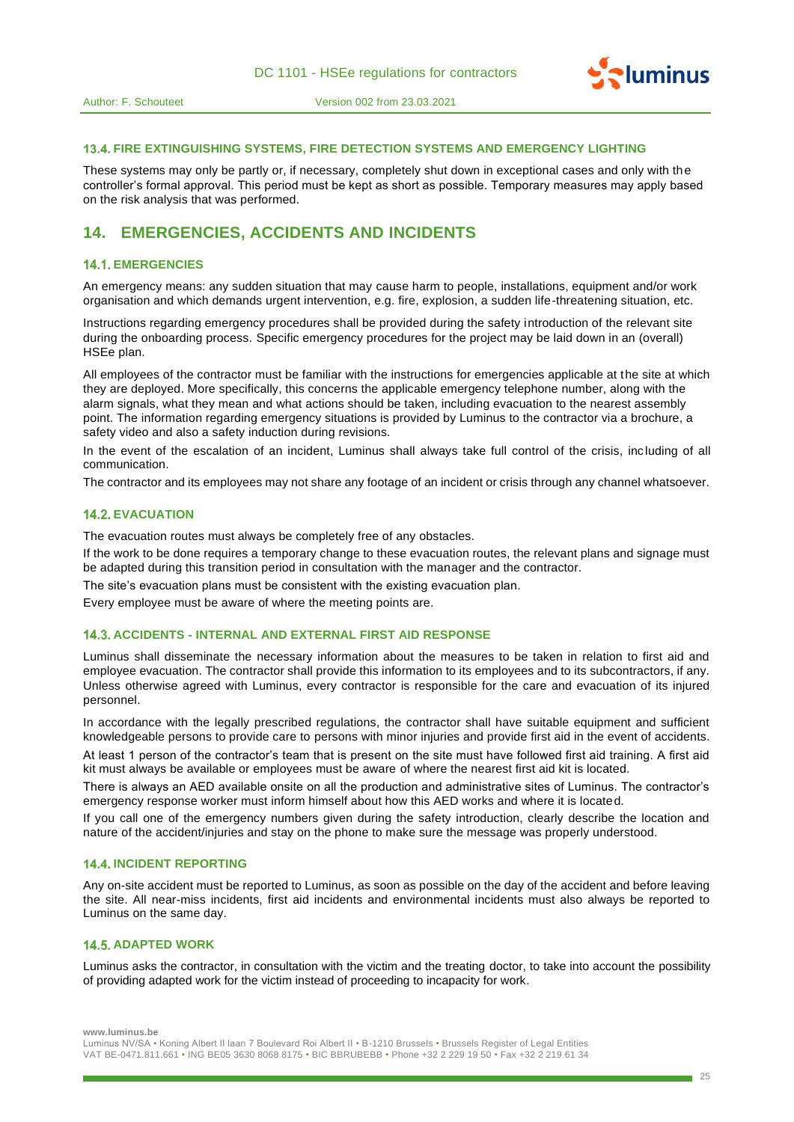

#### **FIRE EXTINGUISHING SYSTEMS, FIRE DETECTION SYSTEMS AND EMERGENCY LIGHTING**

These systems may only be partly or, if necessary, completely shut down in exceptional cases and only with the controller's formal approval. This period must be kept as short as possible. Temporary measures may apply based on the risk analysis that was performed.

# **14. EMERGENCIES, ACCIDENTS AND INCIDENTS**

#### **14.1. EMERGENCIES**

An emergency means: any sudden situation that may cause harm to people, installations, equipment and/or work organisation and which demands urgent intervention, e.g. fire, explosion, a sudden life-threatening situation, etc.

Instructions regarding emergency procedures shall be provided during the safety introduction of the relevant site during the onboarding process. Specific emergency procedures for the project may be laid down in an (overall) HSEe plan.

All employees of the contractor must be familiar with the instructions for emergencies applicable at the site at which they are deployed. More specifically, this concerns the applicable emergency telephone number, along with the alarm signals, what they mean and what actions should be taken, including evacuation to the nearest assembly point. The information regarding emergency situations is provided by Luminus to the contractor via a brochure, a safety video and also a safety induction during revisions.

In the event of the escalation of an incident, Luminus shall always take full control of the crisis, inc luding of all communication.

The contractor and its employees may not share any footage of an incident or crisis through any channel whatsoever.

#### **14.2. EVACUATION**

The evacuation routes must always be completely free of any obstacles.

If the work to be done requires a temporary change to these evacuation routes, the relevant plans and signage must be adapted during this transition period in consultation with the manager and the contractor.

The site's evacuation plans must be consistent with the existing evacuation plan.

Every employee must be aware of where the meeting points are.

# **ACCIDENTS - INTERNAL AND EXTERNAL FIRST AID RESPONSE**

Luminus shall disseminate the necessary information about the measures to be taken in relation to first aid and employee evacuation. The contractor shall provide this information to its employees and to its subcontractors, if any. Unless otherwise agreed with Luminus, every contractor is responsible for the care and evacuation of its injured personnel.

In accordance with the legally prescribed regulations, the contractor shall have suitable equipment and sufficient knowledgeable persons to provide care to persons with minor injuries and provide first aid in the event of accidents.

At least 1 person of the contractor's team that is present on the site must have followed first aid training. A first aid kit must always be available or employees must be aware of where the nearest first aid kit is located.

There is always an AED available onsite on all the production and administrative sites of Luminus. The contractor's emergency response worker must inform himself about how this AED works and where it is located.

If you call one of the emergency numbers given during the safety introduction, clearly describe the location and nature of the accident/injuries and stay on the phone to make sure the message was properly understood.

#### **14.4. INCIDENT REPORTING**

Any on-site accident must be reported to Luminus, as soon as possible on the day of the accident and before leaving the site. All near-miss incidents, first aid incidents and environmental incidents must also always be reported to Luminus on the same day.

# **14.5. ADAPTED WORK**

Luminus asks the contractor, in consultation with the victim and the treating doctor, to take into account the possibility of providing adapted work for the victim instead of proceeding to incapacity for work.

**www.luminus.be**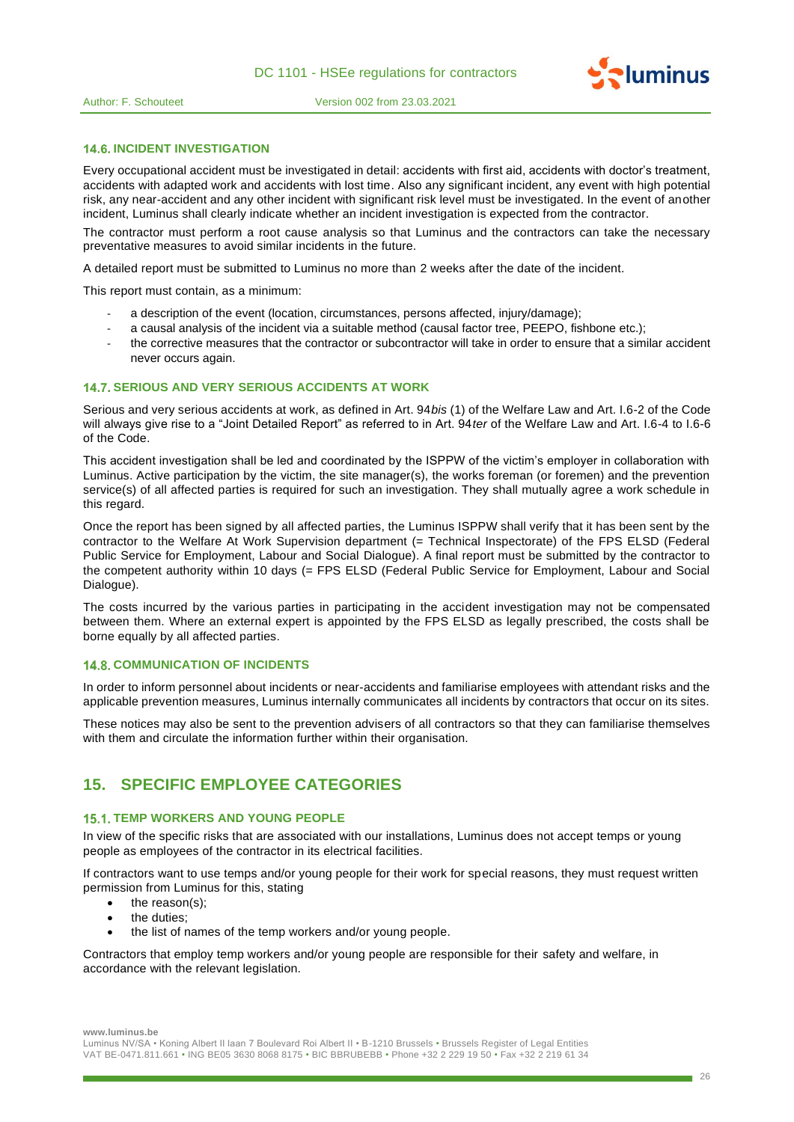

### **14.6. INCIDENT INVESTIGATION**

Every occupational accident must be investigated in detail: accidents with first aid, accidents with doctor's treatment, accidents with adapted work and accidents with lost time. Also any significant incident, any event with high potential risk, any near-accident and any other incident with significant risk level must be investigated. In the event of another incident, Luminus shall clearly indicate whether an incident investigation is expected from the contractor.

The contractor must perform a root cause analysis so that Luminus and the contractors can take the necessary preventative measures to avoid similar incidents in the future.

A detailed report must be submitted to Luminus no more than 2 weeks after the date of the incident.

This report must contain, as a minimum:

- a description of the event (location, circumstances, persons affected, injury/damage);
- a causal analysis of the incident via a suitable method (causal factor tree, PEEPO, fishbone etc.);
- the corrective measures that the contractor or subcontractor will take in order to ensure that a similar accident never occurs again.

# **14.7. SERIOUS AND VERY SERIOUS ACCIDENTS AT WORK**

Serious and very serious accidents at work, as defined in Art. 94*bis* (1) of the Welfare Law and Art. I.6-2 of the Code will always give rise to a "Joint Detailed Report" as referred to in Art. 94*ter* of the Welfare Law and Art. I.6-4 to I.6-6 of the Code.

This accident investigation shall be led and coordinated by the ISPPW of the victim's employer in collaboration with Luminus. Active participation by the victim, the site manager(s), the works foreman (or foremen) and the prevention service(s) of all affected parties is required for such an investigation. They shall mutually agree a work schedule in this regard.

Once the report has been signed by all affected parties, the Luminus ISPPW shall verify that it has been sent by the contractor to the Welfare At Work Supervision department (= Technical Inspectorate) of the FPS ELSD (Federal Public Service for Employment, Labour and Social Dialogue). A final report must be submitted by the contractor to the competent authority within 10 days (= FPS ELSD (Federal Public Service for Employment, Labour and Social Dialogue).

The costs incurred by the various parties in participating in the accident investigation may not be compensated between them. Where an external expert is appointed by the FPS ELSD as legally prescribed, the costs shall be borne equally by all affected parties.

### **14.8. COMMUNICATION OF INCIDENTS**

In order to inform personnel about incidents or near-accidents and familiarise employees with attendant risks and the applicable prevention measures, Luminus internally communicates all incidents by contractors that occur on its sites.

These notices may also be sent to the prevention advisers of all contractors so that they can familiarise themselves with them and circulate the information further within their organisation.

# **15. SPECIFIC EMPLOYEE CATEGORIES**

#### **15.1. TEMP WORKERS AND YOUNG PEOPLE**

In view of the specific risks that are associated with our installations, Luminus does not accept temps or young people as employees of the contractor in its electrical facilities.

If contractors want to use temps and/or young people for their work for special reasons, they must request written permission from Luminus for this, stating

- the reason(s);
- the duties;
- the list of names of the temp workers and/or young people.

Contractors that employ temp workers and/or young people are responsible for their safety and welfare, in accordance with the relevant legislation.

**www.luminus.be**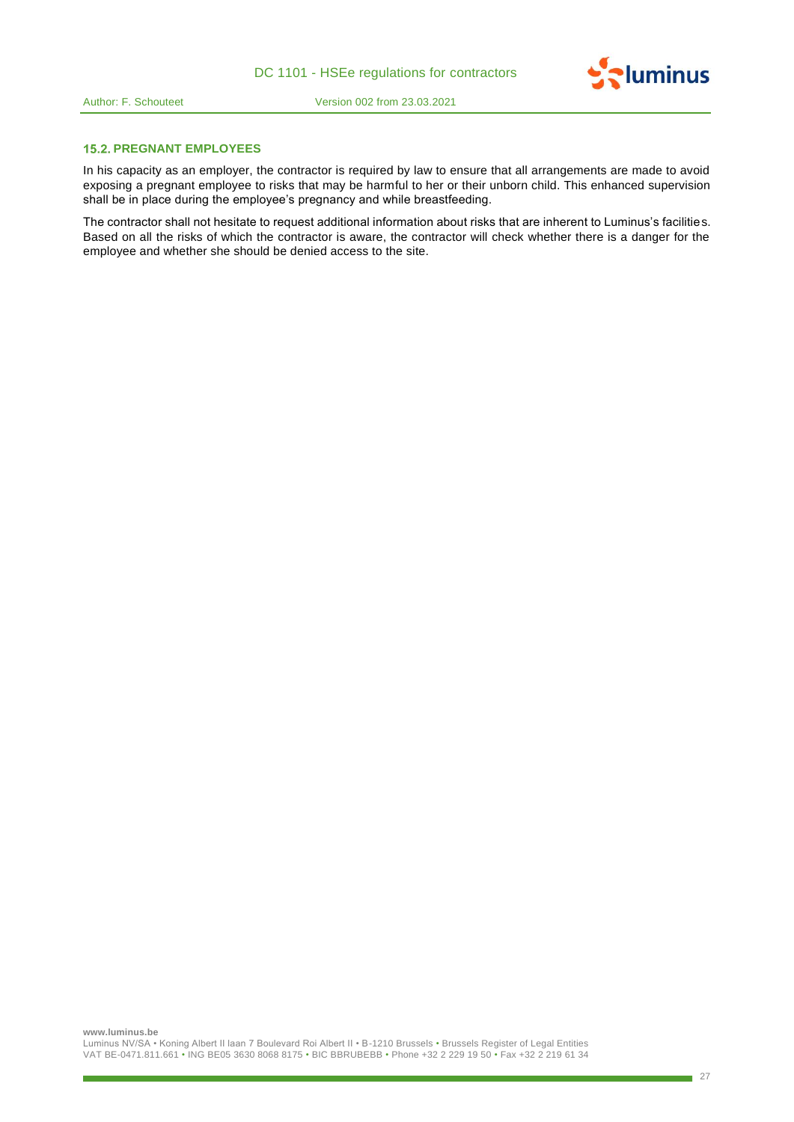

# **15.2. PREGNANT EMPLOYEES**

In his capacity as an employer, the contractor is required by law to ensure that all arrangements are made to avoid exposing a pregnant employee to risks that may be harmful to her or their unborn child. This enhanced supervision shall be in place during the employee's pregnancy and while breastfeeding.

The contractor shall not hesitate to request additional information about risks that are inherent to Luminus's facilities. Based on all the risks of which the contractor is aware, the contractor will check whether there is a danger for the employee and whether she should be denied access to the site.